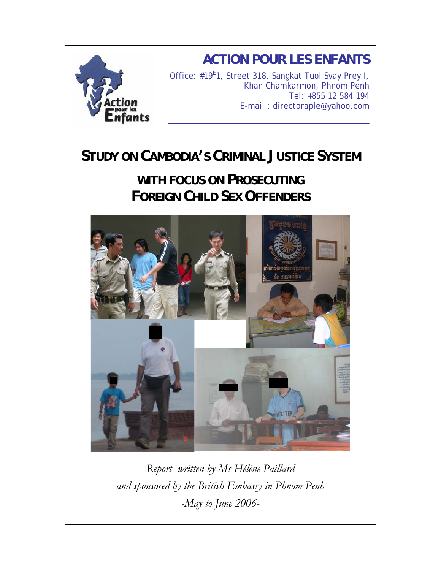

# **STUDY ON CAMBODIA'S CRIMINAL JUSTICE SYSTEM**

# **WITH FOCUS ON PROSECUTING FOREIGN CHILD SEX OFFENDERS**



*Report written by Ms Hélène Paillard and sponsored by the British Embassy in Phnom Penh -May to June 2006-*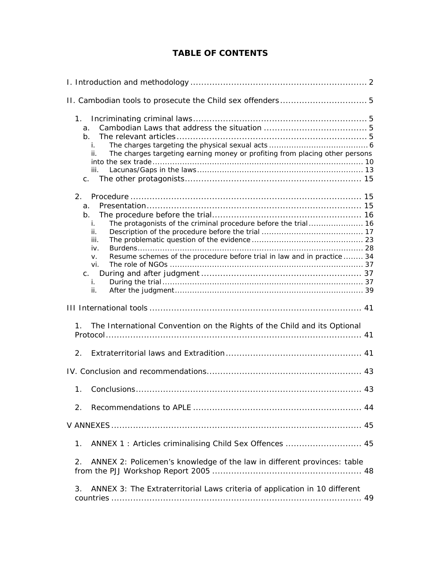# **TABLE OF CONTENTS**

| $1_{\cdot}$<br>a.<br>b.<br>i.<br>The charges targeting earning money or profiting from placing other persons<br>ii.<br>iii.<br>C.                                                                                 |  |  |  |  |
|-------------------------------------------------------------------------------------------------------------------------------------------------------------------------------------------------------------------|--|--|--|--|
| 2.<br>a.<br>b.<br>The protagonists of the criminal procedure before the trial 16<br>i.<br>ii.<br>iii.<br>iv.<br>Resume schemes of the procedure before trial in law and in practice  34<br>V.<br>vi.<br>i.<br>ii. |  |  |  |  |
|                                                                                                                                                                                                                   |  |  |  |  |
| The International Convention on the Rights of the Child and its Optional<br>1.                                                                                                                                    |  |  |  |  |
| 2.                                                                                                                                                                                                                |  |  |  |  |
|                                                                                                                                                                                                                   |  |  |  |  |
| 1 <sub>1</sub>                                                                                                                                                                                                    |  |  |  |  |
| 2.                                                                                                                                                                                                                |  |  |  |  |
|                                                                                                                                                                                                                   |  |  |  |  |
| ANNEX 1: Articles criminalising Child Sex Offences  45<br>1.                                                                                                                                                      |  |  |  |  |
| ANNEX 2: Policemen's knowledge of the law in different provinces: table<br>2.                                                                                                                                     |  |  |  |  |
| ANNEX 3: The Extraterritorial Laws criteria of application in 10 different<br>3.                                                                                                                                  |  |  |  |  |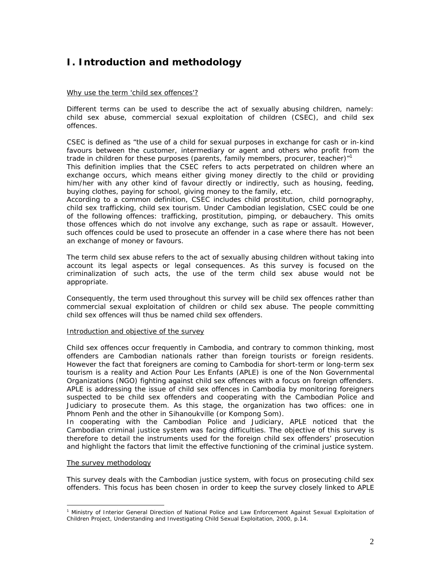# **I. Introduction and methodology**

### Why use the term 'child sex offences'?

Different terms can be used to describe the act of sexually abusing children, namely: child sex abuse, commercial sexual exploitation of children (CSEC), and child sex offences.

CSEC is defined as *"the use of a child for sexual purposes in exchange for cash or in-kind*  favours between the customer, intermediary or agent and others who profit from the *trade in children for these purposes (parents, family members, procurer, teacher)"1* 

This definition implies that the CSEC refers to acts perpetrated on children where an exchange occurs, which means either giving money directly to the child or providing him/her with any other kind of favour directly or indirectly, such as housing, feeding, buying clothes, paying for school, giving money to the family, etc.

According to a common definition, CSEC includes child prostitution, child pornography, child sex trafficking, child sex tourism. Under Cambodian legislation, CSEC could be one of the following offences: trafficking, prostitution, pimping, or debauchery. This omits those offences which do not involve any exchange, such as rape or assault. However, such offences could be used to prosecute an offender in a case where there has not been an exchange of money or favours.

The term child sex abuse refers to the act of sexually abusing children without taking into account its legal aspects or legal consequences. As this survey is focused on the criminalization of such acts, the use of the term child sex abuse would not be appropriate.

Consequently, the term used throughout this survey will be child sex offences rather than commercial sexual exploitation of children or child sex abuse. The people committing child sex offences will thus be named child sex offenders.

#### Introduction and objective of the survey

Child sex offences occur frequently in Cambodia, and contrary to common thinking, most offenders are Cambodian nationals rather than foreign tourists or foreign residents. However the fact that foreigners are coming to Cambodia for short-term or long-term sex tourism is a reality and Action Pour Les Enfants (APLE) is one of the Non Governmental Organizations (NGO) fighting against child sex offences with a focus on foreign offenders. APLE is addressing the issue of child sex offences in Cambodia by monitoring foreigners suspected to be child sex offenders and cooperating with the Cambodian Police and Judiciary to prosecute them. As this stage, the organization has two offices: one in Phnom Penh and the other in Sihanoukville (or Kompong Som).

In cooperating with the Cambodian Police and Judiciary, APLE noticed that the Cambodian criminal justice system was facing difficulties. The objective of this survey is therefore to detail the instruments used for the foreign child sex offenders' prosecution and highlight the factors that limit the effective functioning of the criminal justice system.

#### The survey methodology

l

This survey deals with the Cambodian justice system, with focus on prosecuting child sex offenders. This focus has been chosen in order to keep the survey closely linked to APLE

<sup>&</sup>lt;sup>1</sup> Ministry of Interior General Direction of National Police and Law Enforcement Against Sexual Exploitation of Children Project, *Understanding and Investigating Child Sexual Exploitation*, 2000, p.14.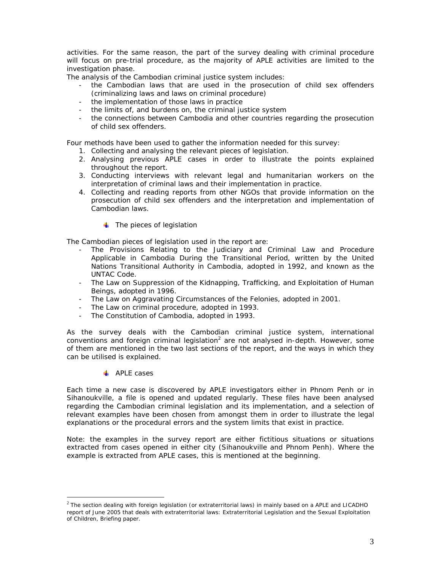activities. For the same reason, the part of the survey dealing with criminal procedure will focus on pre-trial procedure, as the majority of APLE activities are limited to the investigation phase.

The analysis of the Cambodian criminal justice system includes:

- the Cambodian laws that are used in the prosecution of child sex offenders (criminalizing laws and laws on criminal procedure)
- the implementation of those laws in practice
- the limits of, and burdens on, the criminal justice system
- the connections between Cambodia and other countries regarding the prosecution of child sex offenders.

Four methods have been used to gather the information needed for this survey:

- 1. Collecting and analysing the relevant pieces of legislation.
- 2. Analysing previous APLE cases in order to illustrate the points explained throughout the report.
- 3. Conducting interviews with relevant legal and humanitarian workers on the interpretation of criminal laws and their implementation in practice.
- 4. Collecting and reading reports from other NGOs that provide information on the prosecution of child sex offenders and the interpretation and implementation of Cambodian laws.
	- $\ddot{\bullet}$  The pieces of legislation

The Cambodian pieces of legislation used in the report are:

- The *Provisions Relating to the Judiciary and Criminal Law and Procedure Applicable in Cambodia During the Transitional Period*, written by the United Nations Transitional Authority in Cambodia, adopted in 1992, and known as the UNTAC Code.
- The *Law on Suppression of the Kidnapping, Trafficking, and Exploitation of Human Beings*, adopted in 1996.
- The *Law on Aggravating Circumstances of the Felonies,* adopted in 2001.
- The *Law on criminal procedure,* adopted in 1993.
- The *Constitution of Cambodia,* adopted in 1993.

As the survey deals with the Cambodian criminal justice system, international conventions and foreign criminal legislation<sup>2</sup> are not analysed in-depth. However, some of them are mentioned in the two last sections of the report, and the ways in which they can be utilised is explained.

# **APLE** cases

l

Each time a new case is discovered by APLE investigators either in Phnom Penh or in Sihanoukville, a file is opened and updated regularly. These files have been analysed regarding the Cambodian criminal legislation and its implementation, and a selection of relevant examples have been chosen from amongst them in order to illustrate the legal explanations or the procedural errors and the system limits that exist in practice.

Note: the examples in the survey report are either fictitious situations or situations extracted from cases opened in either city (Sihanoukville and Phnom Penh). Where the example is extracted from APLE cases, this is mentioned at the beginning.

 $^2$  The section dealing with foreign legislation (or extraterritorial laws) in mainly based on a APLE and LICADHO report of June 2005 that deals with extraterritorial laws: *Extraterritorial Legislation and the Sexual Exploitation of Children*, Briefing paper.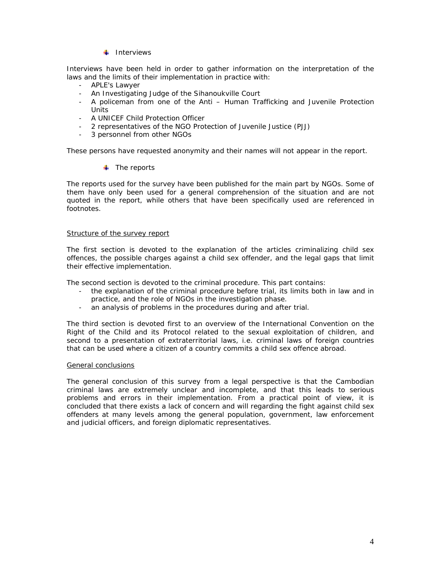# $\ddagger$  Interviews

Interviews have been held in order to gather information on the interpretation of the laws and the limits of their implementation in practice with:

- APLE's Lawyer
- An Investigating Judge of the Sihanoukville Court
- A policeman from one of the Anti Human Trafficking and Juvenile Protection Units
- A UNICEF Child Protection Officer
- 2 representatives of the NGO Protection of Juvenile Justice (PJJ)
- 3 personnel from other NGOs

These persons have requested anonymity and their names will not appear in the report.

# $\ddot{\bullet}$  The reports

The reports used for the survey have been published for the main part by NGOs. Some of them have only been used for a general comprehension of the situation and are not quoted in the report, while others that have been specifically used are referenced in footnotes.

### Structure of the survey report

The first section is devoted to the explanation of the articles criminalizing child sex offences, the possible charges against a child sex offender, and the legal gaps that limit their effective implementation.

The second section is devoted to the criminal procedure. This part contains:

- the explanation of the criminal procedure before trial, its limits both in law and in practice, and the role of NGOs in the investigation phase.
- an analysis of problems in the procedures during and after trial.

The third section is devoted first to an overview of the International Convention on the Right of the Child and its Protocol related to the sexual exploitation of children, and second to a presentation of extraterritorial laws, i.e. criminal laws of foreign countries that can be used where a citizen of a country commits a child sex offence abroad.

#### General conclusions

The general conclusion of this survey from a legal perspective is that the Cambodian criminal laws are extremely unclear and incomplete, and that this leads to serious problems and errors in their implementation. From a practical point of view, it is concluded that there exists a lack of concern and will regarding the fight against child sex offenders at many levels among the general population, government, law enforcement and judicial officers, and foreign diplomatic representatives.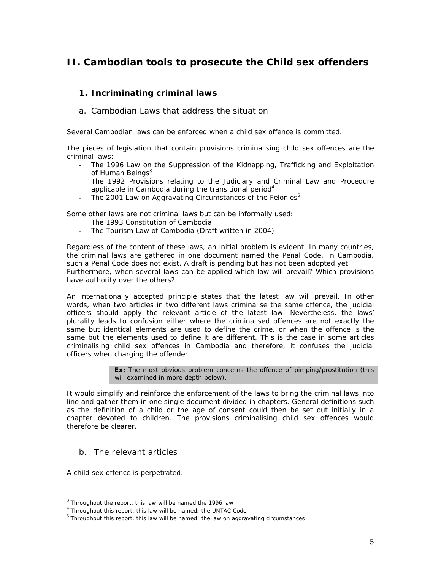# **II. Cambodian tools to prosecute the Child sex offenders**

# **1. Incriminating criminal laws**

a. Cambodian Laws that address the situation

Several Cambodian laws can be enforced when a child sex offence is committed.

The pieces of legislation that contain provisions criminalising child sex offences are the criminal laws:

- The 1996 *Law on the Suppression of the Kidnapping, Trafficking and Exploitation of Human Beings3*
- The 1992 *Provisions relating to the Judiciary and Criminal Law and Procedure applicable in Cambodia during the transitional period4*
- The 2001 *Law on Aggravating Circumstances of the Felonies5*

Some other laws are not criminal laws but can be informally used:

- The 1993 *Constitution of Cambodia*
- The *Tourism Law of Cambodia* (Draft written in 2004)

Regardless of the content of these laws, an initial problem is evident. In many countries, the criminal laws are gathered in one document named the Penal Code. In Cambodia, such a Penal Code does not exist. A draft is pending but has not been adopted yet. Furthermore, when several laws can be applied which law will prevail? Which provisions have authority over the others?

An internationally accepted principle states that the latest law will prevail. In other words, when two articles in two different laws criminalise the same offence, the judicial officers should apply the relevant article of the latest law. Nevertheless, the laws' plurality leads to confusion either where the criminalised offences are not exactly the same but identical elements are used to define the crime, or when the offence is the same but the elements used to define it are different. This is the case in some articles criminalising child sex offences in Cambodia and therefore, it confuses the judicial officers when charging the offender.

> **Ex:** The most obvious problem concerns the offence of pimping/prostitution (this will examined in more depth below).

It would simplify and reinforce the enforcement of the laws to bring the criminal laws into line and gather them in one single document divided in chapters. General definitions such as the definition of a child or the age of consent could then be set out initially in a chapter devoted to children. The provisions criminalising child sex offences would therefore be clearer.

# b. The relevant articles

A child sex offence is perpetrated:

 $3$  Throughout the report, this law will be named the 1996 law

<sup>4</sup> Throughout this report, this law will be named: the UNTAC Code

 $<sup>5</sup>$  Throughout this report, this law will be named: the law on aggravating circumstances</sup>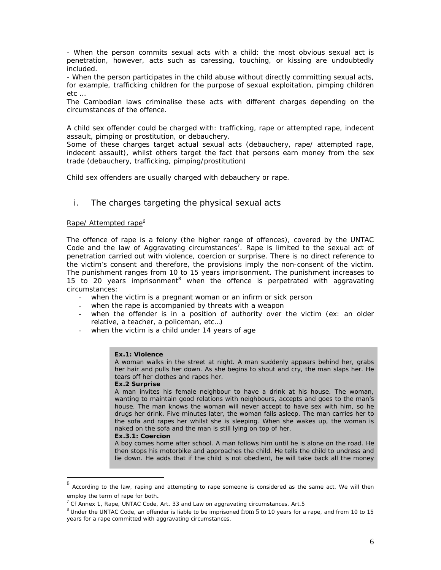- When the person commits sexual acts with a child: the most obvious sexual act is penetration, however, acts such as caressing, touching, or kissing are undoubtedly included.

- When the person participates in the child abuse without directly committing sexual acts, for example, trafficking children for the purpose of sexual exploitation, pimping children etc …

The Cambodian laws criminalise these acts with different charges depending on the circumstances of the offence.

A child sex offender could be charged with: trafficking, rape or attempted rape, indecent assault, pimping or prostitution, or debauchery.

Some of these charges target actual sexual acts (debauchery, rape/ attempted rape, indecent assault), whilst others target the fact that persons earn money from the sex trade (debauchery, trafficking, pimping/prostitution)

Child sex offenders are usually charged with debauchery or rape.

# i. The charges targeting the physical sexual acts

# Rape/ Attempted rape<sup>6</sup>

The offence of rape is a felony (the higher range of offences), covered by the UNTAC Code and the law of Aggravating circumstances<sup>7</sup>. Rape is limited to the sexual act of penetration carried out with violence, coercion or surprise. There is no direct reference to the victim's consent and therefore, the provisions imply the non-consent of the victim. The punishment ranges from 10 to 15 years imprisonment. The punishment increases to 15 to 20 years imprisonment<sup>8</sup> when the offence is perpetrated with aggravating circumstances:

- when the victim is a pregnant woman or an infirm or sick person
- when the rape is accompanied by threats with a weapon
- when the offender is in a position of authority over the victim (ex: an older relative, a teacher, a policeman, etc…)
- when the victim is a child under 14 years of age

#### **Ex.1: Violence**

A woman walks in the street at night. A man suddenly appears behind her, grabs her hair and pulls her down. As she begins to shout and cry, the man slaps her. He tears off her clothes and rapes her.

#### **Ex.2 Surprise**

A man invites his female neighbour to have a drink at his house. The woman, wanting to maintain good relations with neighbours, accepts and goes to the man's house. The man knows the woman will never accept to have sex with him, so he drugs her drink. Five minutes later, the woman falls asleep. The man carries her to the sofa and rapes her whilst she is sleeping. When she wakes up, the woman is naked on the sofa and the man is still lying on top of her.

#### **Ex.3.1: Coercion**

A boy comes home after school. A man follows him until he is alone on the road. He then stops his motorbike and approaches the child. He tells the child to undress and lie down. He adds that if the child is not obedient, he will take back all the money

 $6$  According to the law, raping and attempting to rape someone is considered as the same act. We will then

employ the term of rape for both.<br><sup>7</sup> Cf Annex 1, Rape, UNTAC Code, Art. 33 and Law on aggravating circumstances, Art.5

 $^8$  Under the UNTAC Code, an offender is liable to be imprisoned from 5 to 10 years for a rape, and from 10 to 15 years for a rape committed with aggravating circumstances.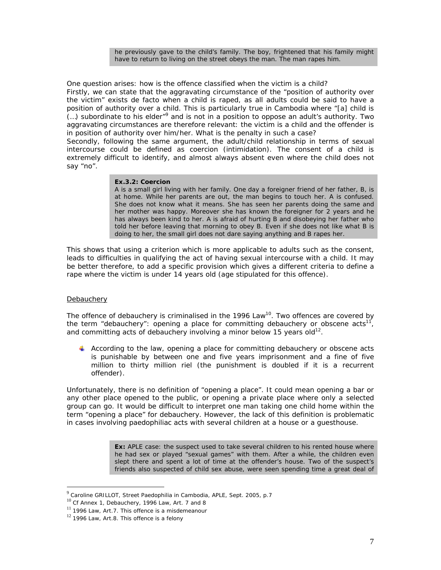he previously gave to the child's family. The boy, frightened that his family might have to return to living on the street obeys the man. The man rapes him.

One question arises: how is the offence classified when the victim is a child? Firstly, we can state that the aggravating circumstance of the "position of authority over the victim" exists de facto when a child is raped, as all adults could be said to have a position of authority over a child. This is particularly true in Cambodia where "[a] child is  $(...)$  subordinate to his elder"<sup>9</sup> and is not in a position to oppose an adult's authority. Two aggravating circumstances are therefore relevant: the victim is a child and the offender is in position of authority over him/her. What is the penalty in such a case?

Secondly, following the same argument, the adult/child relationship in terms of sexual intercourse could be defined as coercion (intimidation). The consent of a child is extremely difficult to identify, and almost always absent even where the child does not say "no".

#### **Ex.3.2: Coercion**

A is a small girl living with her family. One day a foreigner friend of her father, B, is at home. While her parents are out, the man begins to touch her. A is confused. She does not know what it means. She has seen her parents doing the same and her mother was happy. Moreover she has known the foreigner for 2 years and he has always been kind to her. A is afraid of hurting B and disobeying her father who told her before leaving that morning to obey B. Even if she does not like what B is doing to her, the small girl does not dare saying anything and B rapes her.

This shows that using a criterion which is more applicable to adults such as the consent, leads to difficulties in qualifying the act of having sexual intercourse with a child. It may be better therefore, to add a specific provision which gives a different criteria to define a rape where the victim is under 14 years old (age stipulated for this offence).

#### **Debauchery**

l

The offence of debauchery is criminalised in the 1996 Law<sup>10</sup>. Two offences are covered by the term "debauchery": opening a place for committing debauchery or obscene  $acts<sup>11</sup>$ , and committing acts of debauchery involving a minor below 15 years  $\delta d^{12}$ .

According to the law, opening a place for committing debauchery or obscene acts is punishable by between one and five years imprisonment and a fine of five million to thirty million riel (the punishment is doubled if it is a recurrent offender).

Unfortunately, there is no definition of "opening a place". It could mean opening a bar or any other place opened to the public, or opening a private place where only a selected group can go. It would be difficult to interpret one man taking one child home within the term "opening a place" for debauchery. However, the lack of this definition is problematic in cases involving paedophiliac acts with several children at a house or a guesthouse.

> **Ex:** APLE case: the suspect used to take several children to his rented house where he had sex or played "sexual games" with them. After a while, the children even slept there and spent a lot of time at the offender's house. Two of the suspect's friends also suspected of child sex abuse, were seen spending time a great deal of

<sup>9</sup> Caroline GRILLOT, Street Paedophilia in Cambodia, APLE, Sept. 2005, p.7

 $10$  Cf Annex 1, Debauchery, 1996 Law, Art. 7 and 8

 $11$  1996 Law, Art.7. This offence is a misdemeanour

 $12$  1996 Law, Art.8. This offence is a felony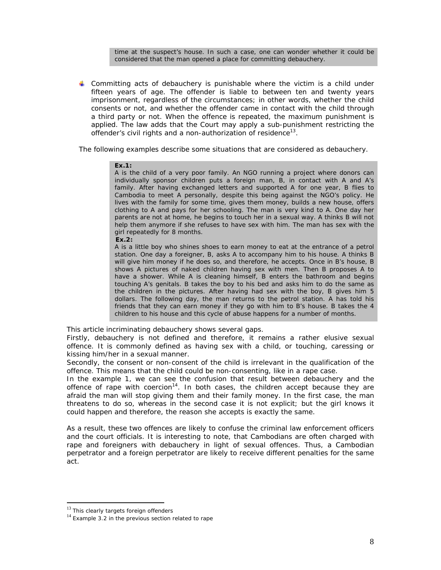time at the suspect's house. In such a case, one can wonder whether it could be considered that the man opened a place for committing debauchery.

**L** Committing acts of debauchery is punishable where the victim is a child under fifteen years of age. The offender is liable to between ten and twenty years imprisonment, regardless of the circumstances; in other words, whether the child consents or not, and whether the offender came in contact with the child through a third party or not. When the offence is repeated, the maximum punishment is applied. The law adds that the Court may apply a sub-punishment restricting the offender's civil rights and a non-authorization of residence<sup>13</sup>.

The following examples describe some situations that are considered as debauchery.

#### **Ex.1:**

A is the child of a very poor family. An NGO running a project where donors can individually sponsor children puts a foreign man, B, in contact with A and A's family. After having exchanged letters and supported A for one year, B flies to Cambodia to meet A personally, despite this being against the NGO's policy. He lives with the family for some time, gives them money, builds a new house, offers clothing to A and pays for her schooling. The man is very kind to A. One day her parents are not at home, he begins to touch her in a sexual way. A thinks B will not help them anymore if she refuses to have sex with him. The man has sex with the girl repeatedly for 8 months.

#### **Ex.2:**

A is a little boy who shines shoes to earn money to eat at the entrance of a petrol station. One day a foreigner, B, asks A to accompany him to his house. A thinks B will give him money if he does so, and therefore, he accepts. Once in B's house, B shows A pictures of naked children having sex with men. Then B proposes A to have a shower. While A is cleaning himself, B enters the bathroom and begins touching A's genitals. B takes the boy to his bed and asks him to do the same as the children in the pictures. After having had sex with the boy, B gives him 5 dollars. The following day, the man returns to the petrol station. A has told his friends that they can earn money if they go with him to B's house. B takes the 4 children to his house and this cycle of abuse happens for a number of months.

This article incriminating debauchery shows several gaps.

Firstly, debauchery is not defined and therefore, it remains a rather elusive sexual offence. It is commonly defined as having sex with a child, or touching, caressing or kissing him/her in a sexual manner.

Secondly, the consent or non-consent of the child is irrelevant in the qualification of the offence. This means that the child could be non-consenting, like in a rape case.

In the example 1, we can see the confusion that result between debauchery and the offence of rape with coercion<sup>14</sup>. In both cases, the children accept because they are afraid the man will stop giving them and their family money. In the first case, the man threatens to do so, whereas in the second case it is not explicit; but the girl knows it could happen and therefore, the reason she accepts is exactly the same.

As a result, these two offences are likely to confuse the criminal law enforcement officers and the court officials. It is interesting to note, that Cambodians are often charged with rape and foreigners with debauchery in light of sexual offences. Thus, a Cambodian perpetrator and a foreign perpetrator are likely to receive different penalties for the same act.

 $13$  This clearly targets foreign offenders

 $14$  Example 3.2 in the previous section related to rape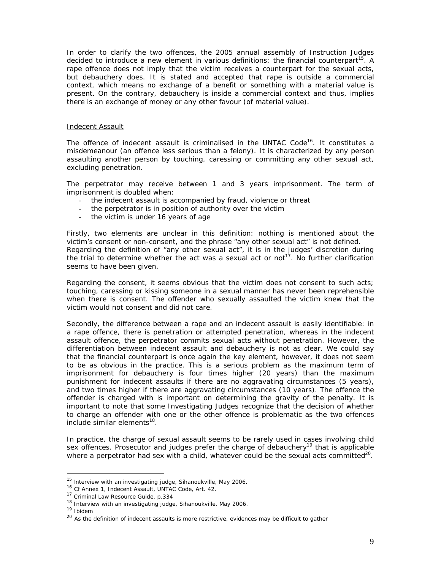In order to clarify the two offences, the 2005 annual assembly of Instruction Judges decided to introduce a new element in various definitions: the financial counterpart<sup>15</sup>. A rape offence does not imply that the victim receives a counterpart for the sexual acts, but debauchery does. It is stated and accepted that rape is outside a commercial context, which means no exchange of a benefit or something with a material value is present. On the contrary, debauchery is inside a commercial context and thus, implies there is an exchange of money or any other favour (of material value).

### Indecent Assault

The offence of indecent assault is criminalised in the UNTAC Code<sup>16</sup>. It constitutes a misdemeanour (an offence less serious than a felony). It is characterized by any person assaulting another person by touching, caressing or committing any other sexual act, excluding penetration.

The perpetrator may receive between 1 and 3 years imprisonment. The term of imprisonment is doubled when:

- the indecent assault is accompanied by fraud, violence or threat
- the perpetrator is in position of authority over the victim
- the victim is under 16 years of age

Firstly, two elements are unclear in this definition: nothing is mentioned about the victim's consent or non-consent, and the phrase "any other sexual act" is not defined. Regarding the definition of "any other sexual act", it is in the judges' discretion during the trial to determine whether the act was a sexual act or not<sup>17</sup>. No further clarification seems to have been given.

Regarding the consent, it seems obvious that the victim does not consent to such acts; touching, caressing or kissing someone in a sexual manner has never been reprehensible when there is consent. The offender who sexually assaulted the victim knew that the victim would not consent and did not care.

Secondly, the difference between a rape and an indecent assault is easily identifiable: in a rape offence, there is penetration or attempted penetration, whereas in the indecent assault offence, the perpetrator commits sexual acts without penetration. However, the differentiation between indecent assault and debauchery is not as clear. We could say that the financial counterpart is once again the key element, however, it does not seem to be as obvious in the practice. This is a serious problem as the maximum term of imprisonment for debauchery is four times higher (20 years) than the maximum punishment for indecent assaults if there are no aggravating circumstances (5 years), and two times higher if there are aggravating circumstances (10 years). The offence the offender is charged with is important on determining the gravity of the penalty. It is important to note that some Investigating Judges recognize that the decision of whether to charge an offender with one or the other offence is problematic as the two offences include similar elements<sup>18</sup>.

In practice, the charge of sexual assault seems to be rarely used in cases involving child sex offences. Prosecutor and judges prefer the charge of debauchery<sup>19</sup> that is applicable where a perpetrator had sex with a child, whatever could be the sexual acts committed<sup>20</sup>.

<sup>&</sup>lt;sup>15</sup> Interview with an investigating judge, Sihanoukville, May 2006.<br><sup>16</sup> Cf Annex 1, Indecent Assault, UNTAC Code, Art. 42.<br><sup>17</sup> Criminal Law Resource Guide, p.334<br><sup>18</sup> Interview with an investigating judge, Sihanoukvill

<sup>&</sup>lt;sup>20</sup> As the definition of indecent assaults is more restrictive, evidences may be difficult to gather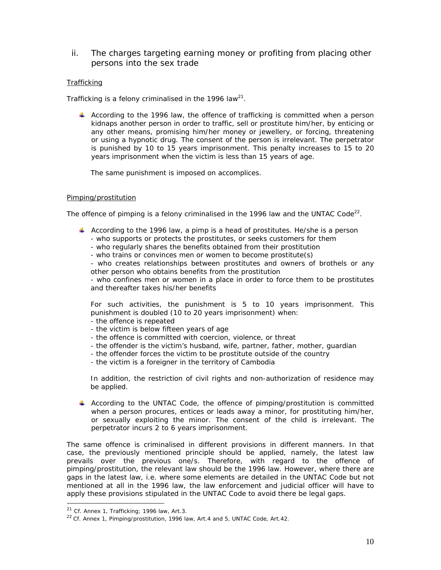# ii. The charges targeting earning money or profiting from placing other persons into the sex trade

# **Trafficking**

Trafficking is a felony criminalised in the 1996 law<sup>21</sup>.

According to the 1996 law, the offence of trafficking is committed when a person kidnaps another person in order to traffic, sell or prostitute him/her, by enticing or any other means, promising him/her money or jewellery, or forcing, threatening or using a hypnotic drug. The consent of the person is irrelevant. The perpetrator is punished by 10 to 15 years imprisonment. This penalty increases to 15 to 20 years imprisonment when the victim is less than 15 years of age.

The same punishment is imposed on accomplices.

# Pimping/prostitution

The offence of pimping is a felony criminalised in the 1996 law and the UNTAC Code<sup>22</sup>.

- According to the 1996 law, a pimp is a head of prostitutes. He/she is a person
	- who supports or protects the prostitutes, or seeks customers for them
	- who regularly shares the benefits obtained from their prostitution
	- who trains or convinces men or women to become prostitute(s)

- who creates relationships between prostitutes and owners of brothels or any other person who obtains benefits from the prostitution

- who confines men or women in a place in order to force them to be prostitutes and thereafter takes his/her benefits

For such activities, the punishment is 5 to 10 years imprisonment. This punishment is doubled (10 to 20 years imprisonment) when:

- the offence is repeated
- the victim is below fifteen years of age
- the offence is committed with coercion, violence, or threat
- the offender is the victim's husband, wife, partner, father, mother, guardian
- the offender forces the victim to be prostitute outside of the country
- the victim is a foreigner in the territory of Cambodia

In addition, the restriction of civil rights and non-authorization of residence may be applied.

According to the UNTAC Code, the offence of pimping/prostitution is committed when a person procures, entices or leads away a minor, for prostituting him/her, or sexually exploiting the minor. The consent of the child is irrelevant. The perpetrator incurs 2 to 6 years imprisonment.

The same offence is criminalised in different provisions in different manners. In that case, the previously mentioned principle should be applied, namely, the latest law prevails over the previous one/s. Therefore, with regard to the offence of pimping/prostitution, the relevant law should be the 1996 law. However, where there are gaps in the latest law, i.e. where some elements are detailed in the UNTAC Code but not mentioned at all in the 1996 law, the law enforcement and judicial officer will have to apply these provisions stipulated in the UNTAC Code to avoid there be legal gaps.

<sup>&</sup>lt;sup>21</sup> Cf. Annex 1, Trafficking; 1996 law, Art.3.<br><sup>22</sup> Cf. Annex 1, Pimping/prostitution, 1996 law, Art.4 and 5, UNTAC Code, Art.42.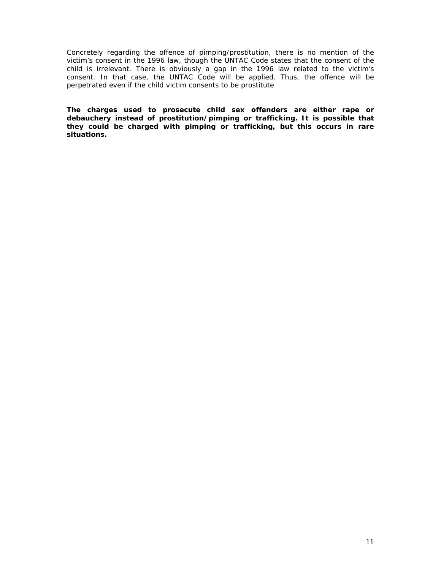Concretely regarding the offence of pimping/prostitution, there is no mention of the victim's consent in the 1996 law, though the UNTAC Code states that the consent of the child is irrelevant. There is obviously a gap in the 1996 law related to the victim's consent. In that case, the UNTAC Code will be applied. Thus, the offence will be perpetrated even if the child victim consents to be prostitute

**The charges used to prosecute child sex offenders are either rape or debauchery instead of prostitution/pimping or trafficking. It is possible that they could be charged with pimping or trafficking, but this occurs in rare situations.**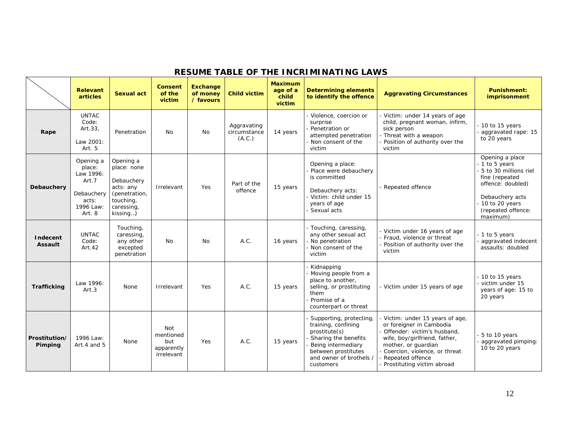|                                   | <b>Relevant</b><br>articles                                                             | Sexual act                                                                                                  | <b>Consent</b><br>of the<br>victim                  | <b>Exchange</b><br>of money<br>/ favours | <b>Child victim</b>                   | <b>Maximum</b><br>age of a<br>child<br>victim | <b>Determining elements</b><br>to identify the offence                                                                                                                       | <b>Aggravating Circumstances</b>                                                                                                                                                                                                     | <b>Punishment:</b><br>imprisonment                                                                                                                                       |
|-----------------------------------|-----------------------------------------------------------------------------------------|-------------------------------------------------------------------------------------------------------------|-----------------------------------------------------|------------------------------------------|---------------------------------------|-----------------------------------------------|------------------------------------------------------------------------------------------------------------------------------------------------------------------------------|--------------------------------------------------------------------------------------------------------------------------------------------------------------------------------------------------------------------------------------|--------------------------------------------------------------------------------------------------------------------------------------------------------------------------|
| Rape                              | <b>UNTAC</b><br>Code:<br>Art.33,<br>Law 2001:<br>Art. 5                                 | Penetration                                                                                                 | No                                                  | No                                       | Aggravating<br>circumstance<br>(A.C.) | 14 years                                      | - Violence, coercion or<br>surprise<br>Penetration or<br>attempted penetration<br>Non consent of the<br>victim                                                               | - Victim: under 14 years of age<br>child, pregnant woman, infirm,<br>sick person<br>- Threat with a weapon<br>Position of authority over the<br>victim                                                                               | 10 to 15 years<br>aggravated rape: 15<br>to 20 years                                                                                                                     |
| Debauchery                        | Opening a<br>place:<br>Law 1996:<br>Art.7<br>Debauchery<br>acts:<br>1996 Law:<br>Art. 8 | Opening a<br>place: none<br>Debauchery<br>acts: any<br>(penetration,<br>touching,<br>caressing,<br>kissing) | Irrelevant                                          | Yes                                      | Part of the<br>offence                | 15 years                                      | Opening a place:<br>Place were debauchery<br>is committed<br>Debauchery acts:<br>Victim: child under 15<br>years of age<br>Sexual acts                                       | - Repeated offence                                                                                                                                                                                                                   | Opening a place<br>- 1 to 5 years<br>5 to 30 millions riel<br>fine (repeated<br>offence: doubled)<br>Debauchery acts<br>10 to 20 years<br>(repeated offence:<br>maximum) |
| <b>Indecent</b><br><b>Assault</b> | <b>UNTAC</b><br>Code:<br>Art.42                                                         | Touching,<br>caressing,<br>any other<br>excepted<br>penetration                                             | No                                                  | N <sub>O</sub>                           | A.C.                                  | 16 years                                      | - Touching, caressing,<br>any other sexual act<br>No penetration<br>- Non consent of the<br>victim                                                                           | - Victim under 16 years of age<br>- Fraud, violence or threat<br>- Position of authority over the<br>victim                                                                                                                          | - 1 to 5 years<br>aggravated indecent<br>assaults: doubled                                                                                                               |
| <b>Trafficking</b>                | Law 1996:<br>Art.3                                                                      | None                                                                                                        | Irrelevant                                          | <b>Yes</b>                               | A.C.                                  | 15 years                                      | Kidnapping<br>- Moving people from a<br>place to another,<br>selling, or prostituting<br>them<br>Promise of a<br>counterpart or threat                                       | - Victim under 15 years of age                                                                                                                                                                                                       | $-10$ to 15 years<br>- victim under 15<br>years of age: 15 to<br>20 years                                                                                                |
| Prostitution/<br>Pimping          | 1996 Law:<br>Art.4 and 5                                                                | None                                                                                                        | Not<br>mentioned<br>but<br>apparently<br>irrelevant | <b>Yes</b>                               | A.C.                                  | 15 years                                      | Supporting, protecting,<br>training, confining<br>prostitute(s)<br>Sharing the benefits<br>Being intermediary<br>between prostitutes<br>and owner of brothels /<br>customers | Victim: under 15 years of age,<br>or foreigner in Cambodia<br>Offender: victim's husband,<br>wife, boy/girlfriend, father,<br>mother, or quardian<br>Coercion, violence, or threat<br>Repeated offence<br>Prostituting victim abroad | 5 to 10 years<br>aggravated pimping:<br>10 to 20 years                                                                                                                   |

# **RESUME TABLE OF THE INCRIMINATING LAWS**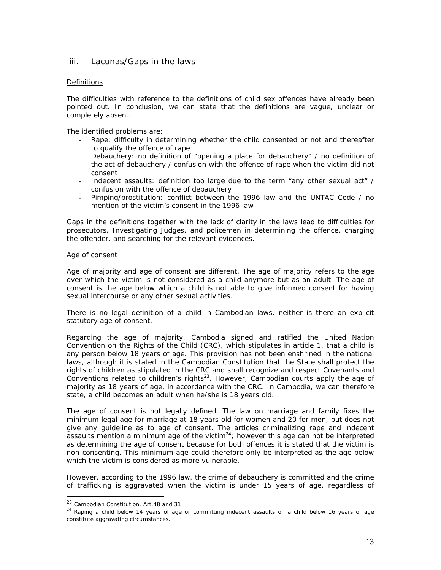# iii. Lacunas/Gaps in the laws

# Definitions

The difficulties with reference to the definitions of child sex offences have already been pointed out. In conclusion, we can state that the definitions are vague, unclear or completely absent.

The identified problems are:

- Rape: difficulty in determining whether the child consented or not and thereafter to qualify the offence of rape
- Debauchery: no definition of "opening a place for debauchery" / no definition of the act of debauchery / confusion with the offence of rape when the victim did not consent
- Indecent assaults: definition too large due to the term "any other sexual act" / confusion with the offence of debauchery
- Pimping/prostitution: conflict between the 1996 law and the UNTAC Code / no mention of the victim's consent in the 1996 law

Gaps in the definitions together with the lack of clarity in the laws lead to difficulties for prosecutors, Investigating Judges, and policemen in determining the offence, charging the offender, and searching for the relevant evidences.

#### Age of consent

Age of majority and age of consent are different. The age of majority refers to the age over which the victim is not considered as a child anymore but as an adult. The age of consent is the age below which a child is not able to give informed consent for having sexual intercourse or any other sexual activities.

There is no legal definition of a child in Cambodian laws, neither is there an explicit statutory age of consent.

Regarding the age of majority, Cambodia signed and ratified the United Nation Convention on the Rights of the Child (CRC), which stipulates in article 1, that a child is any person below 18 years of age. This provision has not been enshrined in the national laws, although it is stated in the Cambodian Constitution that the State shall protect the rights of children as stipulated in the CRC and shall recognize and respect Covenants and Conventions related to children's rights<sup>23</sup>. However, Cambodian courts apply the age of majority as 18 years of age, in accordance with the CRC. In Cambodia, we can therefore state, a child becomes an adult when he/she is 18 years old.

The age of consent is not legally defined. The law on marriage and family fixes the minimum legal age for marriage at 18 years old for women and 20 for men, but does not give any guideline as to age of consent. The articles criminalizing rape and indecent assaults mention a minimum age of the victim $24$ ; however this age can not be interpreted as determining the age of consent because for both offences it is stated that the victim is non-consenting. This minimum age could therefore only be interpreted as the age below which the victim is considered as more vulnerable.

However, according to the 1996 law, the crime of debauchery is committed and the crime of trafficking is aggravated when the victim is under 15 years of age, regardless of

<sup>&</sup>lt;sup>23</sup> Cambodian Constitution, Art.48 and 31

 $24$  Raping a child below 14 years of age or committing indecent assaults on a child below 16 years of age constitute aggravating circumstances.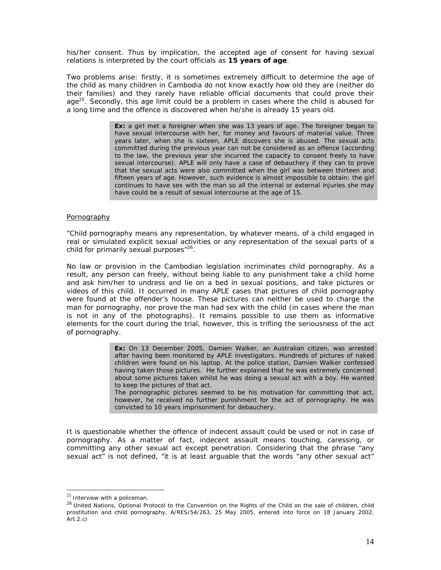his/her consent. Thus by implication, the accepted age of consent for having sexual relations is interpreted by the court officials as **15 years of age**.

Two problems arise: firstly, it is sometimes extremely difficult to determine the age of the child as many children in Cambodia do not know exactly how old they are (neither do their families) and they rarely have reliable official documents that could prove their age<sup>25</sup>. Secondly, this age limit could be a problem in cases where the child is abused for a long time and the offence is discovered when he/she is already 15 years old.

> **Ex:** a girl met a foreigner when she was 13 years of age. The foreigner began to have sexual intercourse with her, for money and favours of material value. Three years later, when she is sixteen, APLE discovers she is abused. The sexual acts committed during the previous year can not be considered as an offence (according to the law, the previous year she incurred the capacity to consent freely to have sexual intercourse). APLE will only have a case of debauchery if they can to prove that the sexual acts were also committed when the girl was between thirteen and fifteen years of age. However, such evidence is almost impossible to obtain: the girl continues to have sex with the man so all the internal or external injuries she may have could be a result of sexual intercourse at the age of 15.

### Pornography

"Child pornography means any representation, by whatever means, of a child engaged in real or simulated explicit sexual activities or any representation of the sexual parts of a child for primarily sexual purposes $"^{26}$ .

No law or provision in the Cambodian legislation incriminates child pornography. As a result, any person can freely, without being liable to any punishment take a child home and ask him/her to undress and lie on a bed in sexual positions, and take pictures or videos of this child. It occurred in many APLE cases that pictures of child pornography were found at the offender's house. These pictures can neither be used to charge the man for pornography, nor prove the man had sex with the child (in cases where the man is not in any of the photographs). It remains possible to use them as informative elements for the court during the trial, however, this is trifling the seriousness of the act of pornography.

> **Ex:** On 13 December 2005, Damien Walker, an Australian citizen, was arrested after having been monitored by APLE investigators. Hundreds of pictures of naked children were found on his laptop. At the police station, Damien Walker confessed having taken those pictures. He further explained that he was extremely concerned about some pictures taken whilst he was doing a sexual act with a boy. He wanted to keep the pictures of that act.

> The pornographic pictures seemed to be his motivation for committing that act, however, he received no further punishment for the act of pornography. He was convicted to 10 years imprisonment for debauchery.

It is questionable whether the offence of indecent assault could be used or not in case of pornography. As a matter of fact, indecent assault means touching, caressing, or committing any other sexual act except penetration. Considering that the phrase "any sexual act" is not defined, "it is at least arguable that the words "any other sexual act"

 $25$  Interview with a policeman.

<sup>&</sup>lt;sup>26</sup> United Nations, Optional Protocol to the Convention on the Rights of the Child on the sale of children, child prostitution and child pornography, A/RES/54/263, 25 May 2005, entered into force on 18 January 2002, Art.2.c)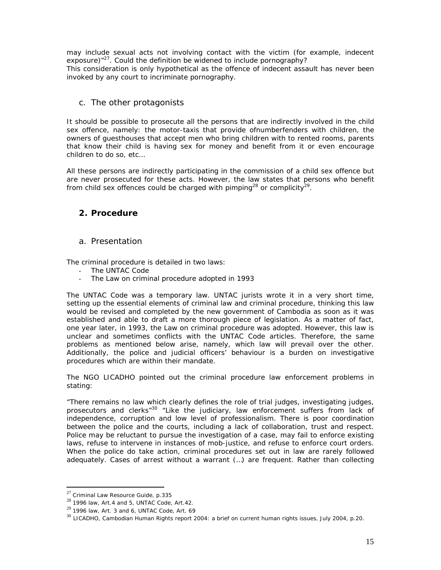may include sexual acts not involving contact with the victim (for example, indecent exposure)<sup>"27</sup>. Could the definition be widened to include pornography? This consideration is only hypothetical as the offence of indecent assault has never been invoked by any court to incriminate pornography.

# c. The other protagonists

It should be possible to prosecute all the persons that are indirectly involved in the child sex offence, namely: the motor-taxis that provide ofnumberfenders with children, the owners of guesthouses that accept men who bring children with to rented rooms, parents that know their child is having sex for money and benefit from it or even encourage children to do so, etc…

All these persons are indirectly participating in the commission of a child sex offence but are never prosecuted for these acts. However, the law states that persons who benefit from child sex offences could be charged with pimping<sup>28</sup> or complicity<sup>29</sup>.

# **2. Procedure**

# a. Presentation

The criminal procedure is detailed in two laws:

- The UNTAC Code
- The Law on criminal procedure adopted in 1993

The UNTAC Code was a temporary law. UNTAC jurists wrote it in a very short time, setting up the essential elements of criminal law and criminal procedure, thinking this law would be revised and completed by the new government of Cambodia as soon as it was established and able to draft a more thorough piece of legislation. As a matter of fact, one year later, in 1993, the Law on criminal procedure was adopted. However, this law is unclear and sometimes conflicts with the UNTAC Code articles. Therefore, the same problems as mentioned below arise, namely, which law will prevail over the other. Additionally, the police and judicial officers' behaviour is a burden on investigative procedures which are within their mandate.

The NGO LICADHO pointed out the criminal procedure law enforcement problems in stating:

"There remains no law which clearly defines the role of trial judges, investigating judges, prosecutors and clerks<sup>"30</sup> "Like the judiciary, law enforcement suffers from lack of independence, corruption and low level of professionalism. There is poor coordination between the police and the courts, including a lack of collaboration, trust and respect. Police may be reluctant to pursue the investigation of a case, may fail to enforce existing laws, refuse to intervene in instances of mob-justice, and refuse to enforce court orders. When the police do take action, criminal procedures set out in law are rarely followed adequately. Cases of arrest without a warrant (…) are frequent. Rather than collecting

 $^{27}$  Criminal Law Resource Guide, p.335

 $28$  1996 law, Art.4 and 5, UNTAC Code, Art.42.

 $29$  1996 law, Art. 3 and 6, UNTAC Code, Art. 69

<sup>30</sup> LICADHO, *Cambodian Human Rights report 2004: a brief on current human rights issues*, July 2004, p.20.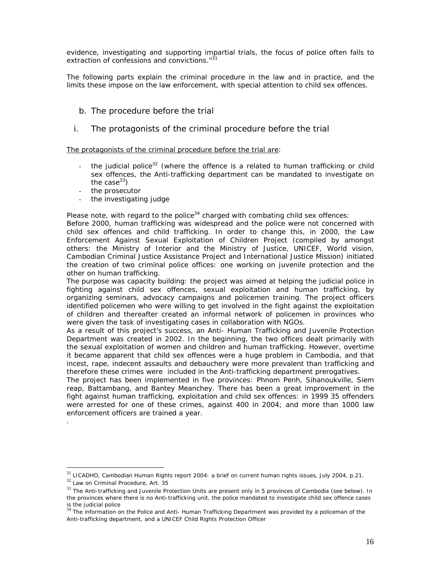evidence, investigating and supporting impartial trials, the focus of police often falls to extraction of confessions and convictions."<sup>31</sup>

The following parts explain the criminal procedure in the law and in practice, and the limits these impose on the law enforcement, with special attention to child sex offences.

- b. The procedure before the trial
- i. The protagonists of the criminal procedure before the trial

The protagonists of the criminal procedure before the trial are:

- the judicial police<sup>32</sup> (where the offence is a related to human trafficking or child sex offences, the Anti-trafficking department can be mandated to investigate on the case $^{33}$ )
- the prosecutor
- the investigating judge

Please note, with regard to the police $34$  charged with combating child sex offences:

*Before 2000, human trafficking was widespread and the police were not concerned with child sex offences and child trafficking. In order to change this, in 2000, the Law Enforcement Against Sexual Exploitation of Children Project (compiled by amongst others: the Ministry of Interior and the Ministry of Justice, UNICEF, World vision, Cambodian Criminal Justice Assistance Project and International Justice Mission) initiated the creation of two criminal police offices: one working on juvenile protection and the other on human trafficking.* 

*The purpose was capacity building: the project was aimed at helping the judicial police in fighting against child sex offences, sexual exploitation and human trafficking, by organizing seminars, advocacy campaigns and policemen training. The project officers identified policemen who were willing to get involved in the fight against the exploitation of children and thereafter created an informal network of policemen in provinces who were given the task of investigating cases in collaboration with NGOs.* 

*As a result of this project's success, an Anti- Human Trafficking and Juvenile Protection Department was created in 2002. In the beginning, the two offices dealt primarily with the sexual exploitation of women and children and human trafficking. However, overtime it became apparent that child sex offences were a huge problem in Cambodia, and that incest, rape, indecent assaults and debauchery were more prevalent than trafficking and therefore these crimes were included in the Anti-trafficking department prerogatives.* 

*The project has been implemented in five provinces: Phnom Penh, Sihanoukville, Siem reap, Battambang, and Bantey Meanchey. There has been a great improvement in the fight against human trafficking, exploitation and child sex offences: in 1999 35 offenders were arrested for one of these crimes, against 400 in 2004; and more than 1000 law enforcement officers are trained a year.* 

*.* 

<sup>31</sup> LICADHO, *Cambodian Human Rights report 2004: a brief on current human rights issues*, July 2004, p.21.

<sup>32</sup> Law on Criminal Procedure, Art. 35

 $33$  The Anti-trafficking and Juvenile Protection Units are present only in 5 provinces of Cambodia (see below). In the provinces where there is no Anti-trafficking unit, the police mandated to investigate child sex offence cases is the judicial police<br> $\frac{34}{1}$ 

The information on the Police and Anti- Human Trafficking Department was provided by a policeman of the Anti-trafficking department, and a UNICEF Child Rights Protection Officer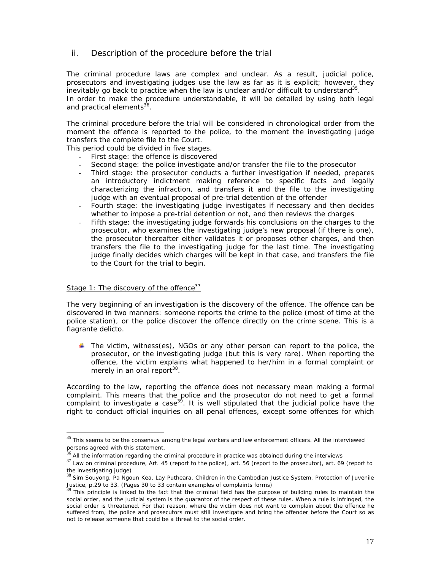# ii. Description of the procedure before the trial

The criminal procedure laws are complex and unclear. As a result, judicial police, prosecutors and investigating judges use the law as far as it is explicit; however, they inevitably go back to practice when the law is unclear and/or difficult to understand<sup>35</sup>. In order to make the procedure understandable, it will be detailed by using both legal and practical elements<sup>3</sup>

The criminal procedure before the trial will be considered in chronological order from the moment the offence is reported to the police, to the moment the investigating judge transfers the complete file to the Court.

This period could be divided in five stages.

- *First stage*: the offence is discovered
- *Second stage*: the police investigate and/or transfer the file to the prosecutor
- *Third stage*: the prosecutor conducts a further investigation if needed, prepares an introductory indictment making reference to specific facts and legally characterizing the infraction, and transfers it and the file to the investigating judge with an eventual proposal of pre-trial detention of the offender
- *Fourth stage*: the investigating judge investigates if necessary and then decides whether to impose a pre-trial detention or not, and then reviews the charges
- Fifth stage: the investigating judge forwards his conclusions on the charges to the prosecutor, who examines the investigating judge's new proposal (if there is one), the prosecutor thereafter either validates it or proposes other charges, and then transfers the file to the investigating judge for the last time. The investigating judge finally decides which charges will be kept in that case, and transfers the file to the Court for the trial to begin.

### Stage 1: The discovery of the offence $37$

The very beginning of an investigation is the discovery of the offence. The offence can be discovered in two manners: someone reports the crime to the police (most of time at the police station), or the police discover the offence directly on the crime scene. This is a flagrante delicto.

The victim, witness(es), NGOs or any other person can report to the police, the prosecutor, or the investigating judge (but this is very rare). When reporting the offence, the victim explains what happened to her/him in a formal complaint or merely in an oral report<sup>38</sup>.

According to the law, reporting the offence does not necessary mean making a formal complaint. This means that the police and the prosecutor do not need to get a formal complaint to investigate a case<sup>39</sup>. It is well stipulated that the judicial police have the right to conduct official inquiries on all penal offences, except some offences for which

 $35$  This seems to be the consensus among the legal workers and law enforcement officers. All the interviewed persons agreed with this statement.<br> $36$  All the information regarding the criminal procedure in practice was obtained during the interviews

 $37$  Law on criminal procedure, Art. 45 (report to the police), art. 56 (report to the prosecutor), art. 69 (report to the investigating judge)

<sup>38</sup> Sim Souyong, Pa Ngoun Kea, Lay Putheara, *Children in the Cambodian Justice System*, Protection of Juvenile Justice, p.29 to 33. (Pages 30 to 33 contain examples of complaints forms)

<sup>39</sup> This principle is linked to the fact that the criminal field has the purpose of building rules to maintain the social order, and the judicial system is the guarantor of the respect of these rules. When a rule is infringed, the social order is threatened. For that reason, where the victim does not want to complain about the offence he suffered from, the police and prosecutors must still investigate and bring the offender before the Court so as not to release someone that could be a threat to the social order.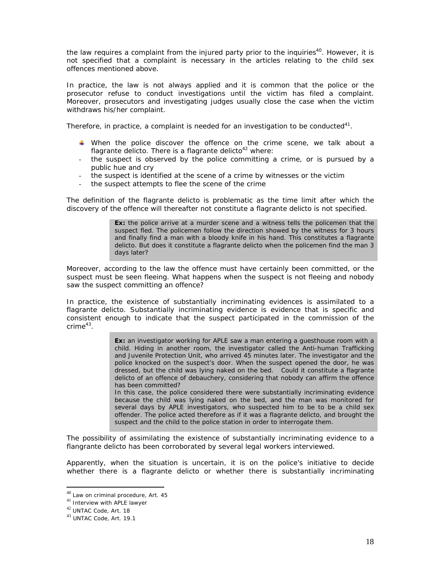the law requires a complaint from the injured party prior to the inquiries<sup>40</sup>. However, it is not specified that a complaint is necessary in the articles relating to the child sex offences mentioned above.

In practice, the law is not always applied and it is common that the police or the prosecutor refuse to conduct investigations until the victim has filed a complaint. Moreover, prosecutors and investigating judges usually close the case when the victim withdraws his/her complaint.

Therefore, in practice, a complaint is needed for an investigation to be conducted $41$ .

- When the police discover the offence on the crime scene, we talk about a flagrante delicto. There is a flagrante delicto $42$  where:
- the suspect is observed by the police committing a crime, or is pursued by a public hue and cry
- the suspect is identified at the scene of a crime by witnesses or the victim
- the suspect attempts to flee the scene of the crime

The definition of the flagrante delicto is problematic as the time limit after which the discovery of the offence will thereafter not constitute a flagrante delicto is not specified.

> **Ex:** the police arrive at a murder scene and a witness tells the policemen that the suspect fled. The policemen follow the direction showed by the witness for 3 hours and finally find a man with a bloody knife in his hand. This constitutes a flagrante delicto. But does it constitute a flagrante delicto when the policemen find the man 3 days later?

Moreover, according to the law the offence must have certainly been committed, or the suspect must be seen fleeing. What happens when the suspect is not fleeing and nobody saw the suspect committing an offence?

In practice, the existence of substantially incriminating evidences is assimilated to a flagrante delicto. Substantially incriminating evidence is evidence that is specific and consistent enough to indicate that the suspect participated in the commission of the  $\text{crime}^{43}$ .

> **Ex:** an investigator working for APLE saw a man entering a guesthouse room with a child. Hiding in another room, the investigator called the Anti-human Trafficking and Juvenile Protection Unit, who arrived 45 minutes later. The investigator and the police knocked on the suspect's door. When the suspect opened the door, he was dressed, but the child was lying naked on the bed. Could it constitute a flagrante delicto of an offence of debauchery, considering that nobody can affirm the offence has been committed?

> In this case, the police considered there were substantially incriminating evidence because the child was lying naked on the bed, and the man was monitored for several days by APLE investigators, who suspected him to be to be a child sex offender. The police acted therefore as if it was a flagrante delicto, and brought the suspect and the child to the police station in order to interrogate them.

The possibility of assimilating the existence of substantially incriminating evidence to a flangrante delicto has been corroborated by several legal workers interviewed.

Apparently, when the situation is uncertain, it is on the police's initiative to decide whether there is a flagrante delicto or whether there is substantially incriminating

 $^{40}$  Law on criminal procedure, Art. 45

<sup>41</sup> Interview with APLE lawyer

<sup>42</sup> UNTAC Code, Art. 18

<sup>43</sup> UNTAC Code, Art. 19.1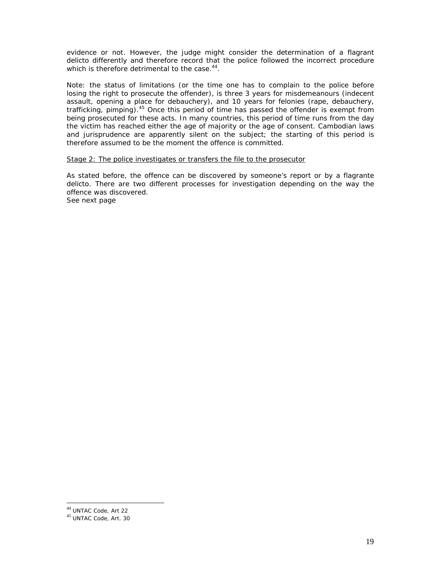evidence or not. However, the judge might consider the determination of a flagrant delicto differently and therefore record that the police followed the incorrect procedure which is therefore detrimental to the case.<sup>44</sup>.

*Note: the status of limitations (or the time one has to complain to the police before losing the right to prosecute the offender), is three 3 years for misdemeanours (indecent assault, opening a place for debauchery), and 10 years for felonies (rape, debauchery, trafficking, pimping).45 Once this period of time has passed the offender is exempt from being prosecuted for these acts. In many countries, this period of time runs from the day the victim has reached either the age of majority or the age of consent. Cambodian laws and jurisprudence are apparently silent on the subject; the starting of this period is therefore assumed to be the moment the offence is committed.* 

# Stage 2: The police investigates or transfers the file to the prosecutor

As stated before, the offence can be discovered by someone's report or by a flagrante delicto. There are two different processes for investigation depending on the way the offence was discovered. *See next page* 

<sup>44</sup> UNTAC Code, Art 22

<sup>45</sup> UNTAC Code, Art. 30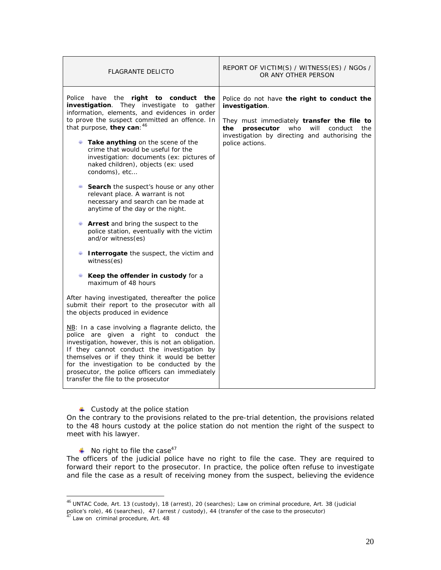| <b>FLAGRANTE DELICTO</b>                                                                                                                                                                                                                                                                                                                                                                                                                                                                                                                                                                                                                                                                                                                                                                                                                                                                                                                                                                                                                                                                                                                                                                                                                                                                                                                                     | REPORT OF VICTIM(S) / WITNESS(ES) / NGOs /<br>OR ANY OTHER PERSON                                                                                                                                                                      |
|--------------------------------------------------------------------------------------------------------------------------------------------------------------------------------------------------------------------------------------------------------------------------------------------------------------------------------------------------------------------------------------------------------------------------------------------------------------------------------------------------------------------------------------------------------------------------------------------------------------------------------------------------------------------------------------------------------------------------------------------------------------------------------------------------------------------------------------------------------------------------------------------------------------------------------------------------------------------------------------------------------------------------------------------------------------------------------------------------------------------------------------------------------------------------------------------------------------------------------------------------------------------------------------------------------------------------------------------------------------|----------------------------------------------------------------------------------------------------------------------------------------------------------------------------------------------------------------------------------------|
| Police<br>have<br>the <b>right to conduct the</b><br>investigation. They investigate to gather<br>information, elements, and evidences in order<br>to prove the suspect committed an offence. In<br>that purpose, they can: 46<br>Take anything on the scene of the<br>crime that would be useful for the<br>investigation: documents (ex: pictures of<br>naked children), objects (ex: used<br>condoms), etc<br>Search the suspect's house or any other<br>relevant place. A warrant is not<br>necessary and search can be made at<br>anytime of the day or the night.<br><b>Arrest</b> and bring the suspect to the<br>police station, eventually with the victim<br>and/or witness(es)<br>Interrogate the suspect, the victim and<br>witness(es)<br>Keep the offender in custody for a<br>maximum of 48 hours<br>After having investigated, thereafter the police<br>submit their report to the prosecutor with all<br>the objects produced in evidence<br>$NB:$ In a case involving a flagrante delicto, the<br>police are given a right to conduct the<br>investigation, however, this is not an obligation.<br>If they cannot conduct the investigation by<br>themselves or if they think it would be better<br>for the investigation to be conducted by the<br>prosecutor, the police officers can immediately<br>transfer the file to the prosecutor | Police do not have the right to conduct the<br>investigation.<br>They must immediately transfer the file to<br>who<br>prosecutor<br>will<br>the<br>conduct<br>the<br>investigation by directing and authorising the<br>police actions. |

4 Custody at the police station

On the contrary to the provisions related to the pre-trial detention, the provisions related to the 48 hours custody at the police station do not mention the right of the suspect to meet with his lawyer.

 $\blacksquare$  No right to file the case<sup>47</sup>

The officers of the judicial police have no right to file the case. They are required to forward their report to the prosecutor. In practice, the police often refuse to investigate and file the case as a result of receiving money from the suspect, believing the evidence

 $^{46}$ UNTAC Code, Art. 13 (custody), 18 (arrest), 20 (searches); Law on criminal procedure, Art. 38 (judicial police's role), 46 (searches), 47 (arrest / custody), 44 (transfer of the case to the prosecutor)<br><sup>47</sup> Law on criminal procedure, Art. 48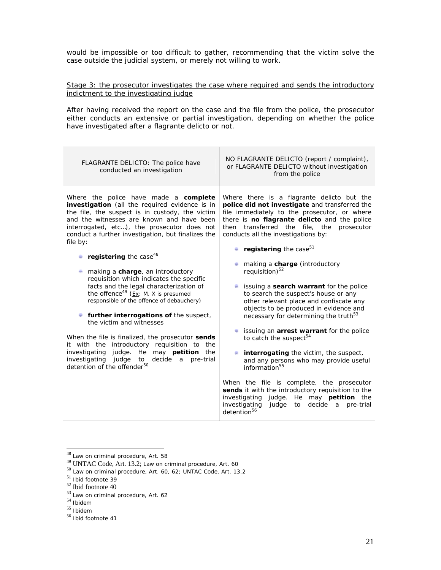would be impossible or too difficult to gather, recommending that the victim solve the case outside the judicial system, or merely not willing to work.

# Stage 3: the prosecutor investigates the case where required and sends the introductory indictment to the investigating judge

After having received the report on the case and the file from the police, the prosecutor either conducts an extensive or partial investigation, depending on whether the police have investigated after a flagrante delicto or not.

| FLAGRANTE DELICTO: The police have<br>conducted an investigation | NO FLAGRANTE DELICTO (report / complaint),<br>or FLAGRANTE DELICTO without investigation<br>from the police |
|------------------------------------------------------------------|-------------------------------------------------------------------------------------------------------------|
| Where the police have made a complete                            | Where there is a flagrante delicto but the                                                                  |
| investigation (all the required evidence is in                   | police did not investigate and transferred the                                                              |
| the file, the suspect is in custody, the victim                  | file immediately to the prosecutor, or where                                                                |
| and the witnesses are known and have been                        | there is no flagrante delicto and the police                                                                |
| interrogated, etc), the prosecutor does not                      | then transferred the file, the                                                                              |
| conduct a further investigation, but finalizes the               | prosecutor                                                                                                  |
| file by:                                                         | conducts all the investigations by:                                                                         |
| registering the case <sup>48</sup>                               | registering the case <sup>51</sup>                                                                          |
| making a charge, an introductory                                 | making a charge (introductory                                                                               |
| requisition which indicates the specific                         | requisition) $52$                                                                                           |
| facts and the legal characterization of                          | issuing a search warrant for the police                                                                     |
| the offence <sup>49</sup> (Ex: M. X is presumed                  | to search the suspect's house or any                                                                        |
| responsible of the offence of debauchery)                        | other relevant place and confiscate any                                                                     |
| further interrogations of the suspect,                           | objects to be produced in evidence and                                                                      |
| the victim and witnesses                                         | necessary for determining the truth <sup>53</sup>                                                           |
| When the file is finalized, the prosecutor sends                 | issuing an arrest warrant for the police                                                                    |
| introductory requisition to                                      | to catch the suspect <sup>54</sup>                                                                          |
| it with the                                                      | interrogating the victim, the suspect,                                                                      |
| the                                                              | and any persons who may provide useful                                                                      |
| judge. He may petition                                           | information <sup>55</sup>                                                                                   |
| investigating                                                    | When the file is complete, the prosecutor                                                                   |
| the                                                              | sends it with the introductory requisition to the                                                           |
| investigating judge                                              | investigating judge. He may <b>petition</b> the                                                             |
| decide a                                                         | to decide a pre-trial                                                                                       |
| to                                                               | investigating                                                                                               |
| pre-trial                                                        | judge                                                                                                       |
| detention of the offender <sup>50</sup>                          | detention <sup>56</sup>                                                                                     |

 $^{48}$  Law on criminal procedure, Art. 58

 $^{49}$  UNTAC Code, Art. 13.2; Law on criminal procedure, Art. 60<br> $^{50}$  Law on criminal procedure, Art. 60, 62; UNTAC Code, Art. 13.2

 $51$  Ibid footnote 39

<sup>52</sup> Ibid footnote 40

 $53$  Law on criminal procedure, Art. 62

 $54$  Ibidem

 $55$  Ibidem

<sup>56</sup> Ibid footnote 41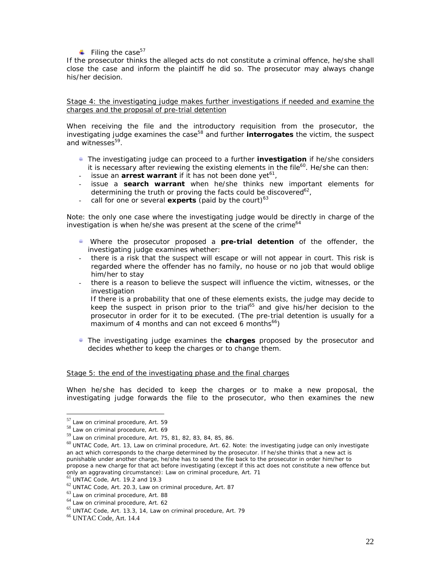Filing the case<sup>57</sup>

If the prosecutor thinks the alleged acts do not constitute a criminal offence, he/she shall close the case and inform the plaintiff he did so. The prosecutor may always change his/her decision.

### Stage 4: the investigating judge makes further investigations if needed and examine the charges and the proposal of pre-trial detention

When receiving the file and the introductory requisition from the prosecutor, the investigating judge examines the case<sup>58</sup> and further **interrogates** the victim, the suspect and witnesses<sup>59</sup>.

- The investigating judge can proceed to a further **investigation** if he/she considers it is necessary after reviewing the existing elements in the file $^{60}$ . He/she can then:
- $-$  issue an **arrest warrant** if it has not been done yet<sup>61</sup>,
- issue a **search warrant** when he/she thinks new important elements for determining the truth or proving the facts could be discovered<sup>62</sup>,
- call for one or several **experts** (paid by the court)<sup>63</sup>

*Note: the only one case where the investigating judge would be directly in charge of the*  investigation is when he/she was present at the scene of the crime<sup>64</sup>

- Where the prosecutor proposed a **pre-trial detention** of the offender, the investigating judge examines whether:
- there is a risk that the suspect will escape or will not appear in court. This risk is regarded where the offender has no family, no house or no job that would oblige him/her to stay
- there is a reason to believe the suspect will influence the victim, witnesses, or the investigation If there is a probability that one of these elements exists, the judge may decide to keep the suspect in prison prior to the trial<sup>65</sup> and give his/her decision to the prosecutor in order for it to be executed. (The pre-trial detention is usually for a maximum of 4 months and can not exceed 6 months $^{66}$ )
- **The investigating judge examines the <b>charges** proposed by the prosecutor and decides whether to keep the charges or to change them.

### Stage 5: the end of the investigating phase and the final charges

When he/she has decided to keep the charges or to make a new proposal, the investigating judge forwards the file to the prosecutor, who then examines the new

<sup>&</sup>lt;sup>57</sup> Law on criminal procedure, Art. 59

<sup>58</sup> Law on criminal procedure, Art. 69

<sup>59</sup> Law on criminal procedure, Art. 75, 81, 82, 83, 84, 85, 86.

<sup>60</sup> UNTAC Code, Art. 13, Law on criminal procedure, Art. 62. *Note: the investigating judge can only investigate an act which corresponds to the charge determined by the prosecutor. If he/she thinks that a new act is punishable under another charge, he/she has to send the file back to the prosecutor in order him/her to propose a new charge for that act before investigating (except if this act does not constitute a new offence but only an aggravating circumstance): Law on criminal procedure, Art. 71* <sup>61</sup> UNTAC Code, Art. 19.2 and 19.3

 $^{62}$  UNTAC Code, Art. 20.3, Law on criminal procedure, Art. 87  $\,$ 

 $63$  Law on criminal procedure, Art. 88

<sup>64</sup> Law on criminal procedure, Art. 62

<sup>65</sup> UNTAC Code, Art. 13.3, 14, Law on criminal procedure, Art. 79

<sup>66</sup> UNTAC Code, Art. 14.4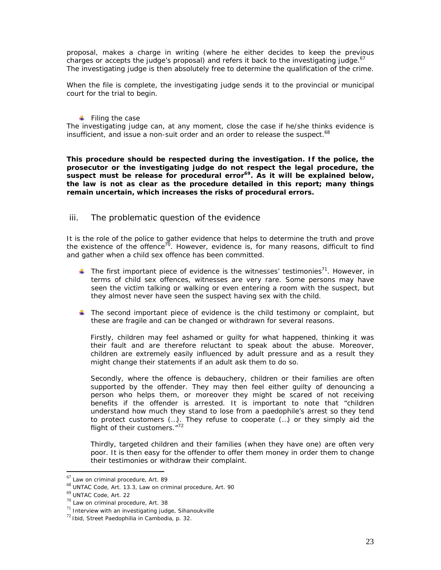proposal, makes a charge in writing (where he either decides to keep the previous charges or accepts the judge's proposal) and refers it back to the investigating judge. $67$ The investigating judge is then absolutely free to determine the qualification of the crime.

When the file is complete, the investigating judge sends it to the provincial or municipal court for the trial to begin.

### $\blacksquare$  Filing the case

The investigating judge can, at any moment, close the case if he/she thinks evidence is insufficient, and issue a non-suit order and an order to release the suspect.<sup>68</sup>

**This procedure should be respected during the investigation. If the police, the prosecutor or the investigating judge do not respect the legal procedure, the**  suspect must be release for procedural error<sup>69</sup>. As it will be explained below, **the law is not as clear as the procedure detailed in this report; many things remain uncertain, which increases the risks of procedural errors.** 

# iii. The problematic question of the evidence

It is the role of the police to gather evidence that helps to determine the truth and prove the existence of the offence<sup>70</sup>. However, evidence is, for many reasons, difficult to find and gather when a child sex offence has been committed.

- The first important piece of evidence is the witnesses' testimonies<sup>71</sup>. However, in terms of child sex offences, witnesses are very rare. Some persons may have seen the victim talking or walking or even entering a room with the suspect, but they almost never have seen the suspect having sex with the child.
- The second important piece of evidence is the child testimony or complaint, but these are fragile and can be changed or withdrawn for several reasons.

Firstly, children may feel ashamed or guilty for what happened, thinking it was their fault and are therefore reluctant to speak about the abuse. Moreover, children are extremely easily influenced by adult pressure and as a result they might change their statements if an adult ask them to do so.

Secondly, where the offence is debauchery, children or their families are often supported by the offender. They may then feel either guilty of denouncing a person who helps them, or moreover they might be scared of not receiving benefits if the offender is arrested. It is important to note that "children understand how much they stand to lose from a paedophile's arrest so they tend to protect customers (…). They refuse to cooperate (…) or they simply aid the flight of their customers."<sup>72</sup>

Thirdly, targeted children and their families (when they have one) are often very poor. It is then easy for the offender to offer them money in order them to change their testimonies or withdraw their complaint.

<sup>67</sup> Law on criminal procedure, Art. 89

<sup>68</sup> UNTAC Code, Art. 13.3, Law on criminal procedure, Art. 90

<sup>69</sup> UNTAC Code, Art. 22

 $70$  Law on criminal procedure, Art. 38

 $71$  Interview with an investigating judge, Sihanoukville

<sup>72</sup>Ibid, *Street Paedophilia in Cambodia*, p. 32.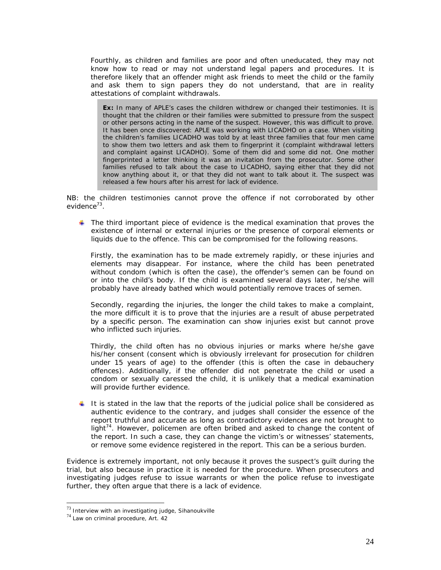Fourthly, as children and families are poor and often uneducated, they may not know how to read or may not understand legal papers and procedures. It is therefore likely that an offender might ask friends to meet the child or the family and ask them to sign papers they do not understand, that are in reality attestations of complaint withdrawals.

**Ex:** In many of APLE's cases the children withdrew or changed their testimonies. It is thought that the children or their families were submitted to pressure from the suspect or other persons acting in the name of the suspect. However, this was difficult to prove. It has been once discovered: APLE was working with LICADHO on a case. When visiting the children's families LICADHO was told by at least three families that four men came to show them two letters and ask them to fingerprint it (complaint withdrawal letters and complaint against LICADHO). Some of them did and some did not. One mother fingerprinted a letter thinking it was an invitation from the prosecutor. Some other families refused to talk about the case to LICADHO, saying either that they did not know anything about it, or that they did not want to talk about it. The suspect was released a few hours after his arrest for lack of evidence.

NB: the children testimonies cannot prove the offence if not corroborated by other evidence $^{73}$ .

 $\blacksquare$  The third important piece of evidence is the medical examination that proves the existence of internal or external injuries or the presence of corporal elements or liquids due to the offence. This can be compromised for the following reasons.

Firstly, the examination has to be made extremely rapidly, or these injuries and elements may disappear. For instance, where the child has been penetrated without condom (which is often the case), the offender's semen can be found on or into the child's body. If the child is examined several days later, he/she will probably have already bathed which would potentially remove traces of semen.

Secondly, regarding the injuries, the longer the child takes to make a complaint, the more difficult it is to prove that the injuries are a result of abuse perpetrated by a specific person. The examination can show injuries exist but cannot prove who inflicted such injuries.

Thirdly, the child often has no obvious injuries or marks where he/she gave his/her consent (consent which is obviously irrelevant for prosecution for children under 15 years of age) to the offender (this is often the case in debauchery offences). Additionally, if the offender did not penetrate the child or used a condom or sexually caressed the child, it is unlikely that a medical examination will provide further evidence.

It is stated in the law that the reports of the judicial police shall be considered as authentic evidence to the contrary, and judges shall consider the essence of the report truthful and accurate as long as contradictory evidences are not brought to light<sup>74</sup>. However, policemen are often bribed and asked to change the content of the report. In such a case, they can change the victim's or witnesses' statements, or remove some evidence registered in the report. This can be a serious burden.

Evidence is extremely important, not only because it proves the suspect's guilt during the trial, but also because in practice it is needed for the procedure. When prosecutors and investigating judges refuse to issue warrants or when the police refuse to investigate further, they often argue that there is a lack of evidence.

 $73$  Interview with an investigating judge, Sihanoukville

<sup>74</sup> Law on criminal procedure, Art. 42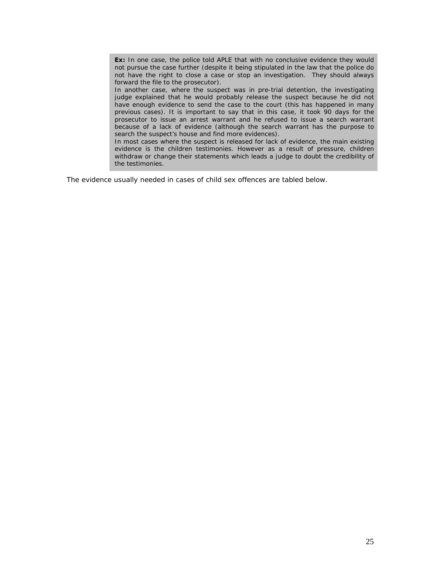**Ex:** In one case, the police told APLE that with no conclusive evidence they would not pursue the case further (despite it being stipulated in the law that the police do not have the right to close a case or stop an investigation. They should always forward the file to the prosecutor).

In another case, where the suspect was in pre-trial detention, the investigating judge explained that he would probably release the suspect because he did not have enough evidence to send the case to the court (this has happened in many previous cases). It is important to say that in this case, it took 90 days for the prosecutor to issue an arrest warrant and he refused to issue a search warrant because of a lack of evidence (although the search warrant has the purpose to search the suspect's house and find more evidences).

In most cases where the suspect is released for lack of evidence, the main existing evidence is the children testimonies. However as a result of pressure, children withdraw or change their statements which leads a judge to doubt the credibility of the testimonies.

The evidence usually needed in cases of child sex offences are tabled below.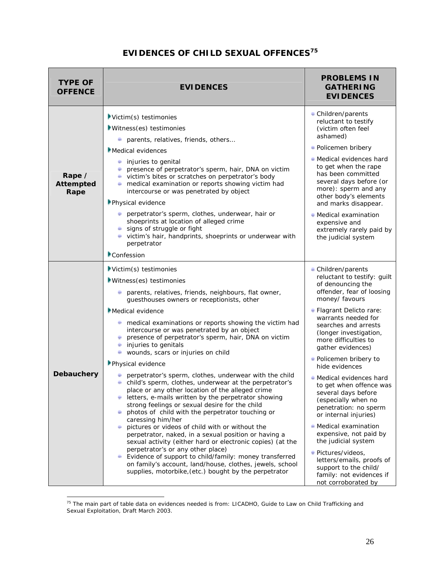# **EVIDENCES OF CHILD SEXUAL OFFENCES<sup>75</sup>**

| <b>TYPE OF</b><br><b>OFFENCE</b>   | <b>EVIDENCES</b>                                                                                                                                                                                                                                                                                                                                                                                                                                                                                                                                                                                                                                                                                                                                                                                                                                                                                                                                                                                                                                                                                                                                                                                           | <b>PROBLEMS IN</b><br><b>GATHERING</b><br><b>EVIDENCES</b>                                                                                                                                                                                                                                                                                                                                                                                                                                                                                                                                                                                                                      |
|------------------------------------|------------------------------------------------------------------------------------------------------------------------------------------------------------------------------------------------------------------------------------------------------------------------------------------------------------------------------------------------------------------------------------------------------------------------------------------------------------------------------------------------------------------------------------------------------------------------------------------------------------------------------------------------------------------------------------------------------------------------------------------------------------------------------------------------------------------------------------------------------------------------------------------------------------------------------------------------------------------------------------------------------------------------------------------------------------------------------------------------------------------------------------------------------------------------------------------------------------|---------------------------------------------------------------------------------------------------------------------------------------------------------------------------------------------------------------------------------------------------------------------------------------------------------------------------------------------------------------------------------------------------------------------------------------------------------------------------------------------------------------------------------------------------------------------------------------------------------------------------------------------------------------------------------|
| Rape /<br><b>Attempted</b><br>Rape | Victim(s) testimonies<br>Witness(es) testimonies<br>parents, relatives, friends, others<br>Medical evidences<br>injuries to genital<br>presence of perpetrator's sperm, hair, DNA on victim<br>victim's bites or scratches on perpetrator's body<br>medical examination or reports showing victim had<br>intercourse or was penetrated by object<br>Physical evidence<br>perpetrator's sperm, clothes, underwear, hair or<br>shoeprints at location of alleged crime<br>signs of struggle or fight<br>victim's hair, handprints, shoeprints or underwear with<br>perpetrator<br>Confession                                                                                                                                                                                                                                                                                                                                                                                                                                                                                                                                                                                                                 | • Children/parents<br>reluctant to testify<br>(victim often feel<br>ashamed)<br>● Policemen bribery<br>• Medical evidences hard<br>to get when the rape<br>has been committed<br>several days before (or<br>more): sperm and any<br>other body's elements<br>and marks disappear.<br>$\bullet$ Medical examination<br>expensive and<br>extremely rarely paid by<br>the judicial system                                                                                                                                                                                                                                                                                          |
| Debauchery                         | Victim(s) testimonies<br>Witness(es) testimonies<br>parents, relatives, friends, neighbours, flat owner,<br>guesthouses owners or receptionists, other<br><b>Medical evidence</b><br>$\blacksquare$ medical examinations or reports showing the victim had<br>intercourse or was penetrated by an object<br>presence of perpetrator's sperm, hair, DNA on victim<br>injuries to genitals<br>wounds, scars or injuries on child<br>Physical evidence<br>perpetrator's sperm, clothes, underwear with the child<br>child's sperm, clothes, underwear at the perpetrator's<br>place or any other location of the alleged crime<br>letters, e-mails written by the perpetrator showing<br>strong feelings or sexual desire for the child<br>photos of child with the perpetrator touching or<br>caressing him/her<br>pictures or videos of child with or without the<br>perpetrator, naked, in a sexual position or having a<br>sexual activity (either hard or electronic copies) (at the<br>perpetrator's or any other place)<br>Evidence of support to child/family: money transferred<br>on family's account, land/house, clothes, jewels, school<br>supplies, motorbike, (etc.) bought by the perpetrator | - Children/parents<br>reluctant to testify: guilt<br>of denouncing the<br>offender, fear of loosing<br>money/ favours<br>• Flagrant Delicto rare:<br>warrants needed for<br>searches and arrests<br>(longer investigation,<br>more difficulties to<br>gather evidences)<br>Policemen bribery to<br>hide evidences<br>• Medical evidences hard<br>to get when offence was<br>several days before<br>(especially when no<br>penetration: no sperm<br>or internal injuries)<br>Medical examination<br>expensive, not paid by<br>the judicial system<br>- Pictures/videos,<br>letters/emails, proofs of<br>support to the child/<br>family: not evidences if<br>not corroborated by |

<sup>75</sup> The main part of table data on evidences needed is from: LICADHO, *Guide to Law on Child Trafficking and Sexual Exploitation*, Draft March 2003.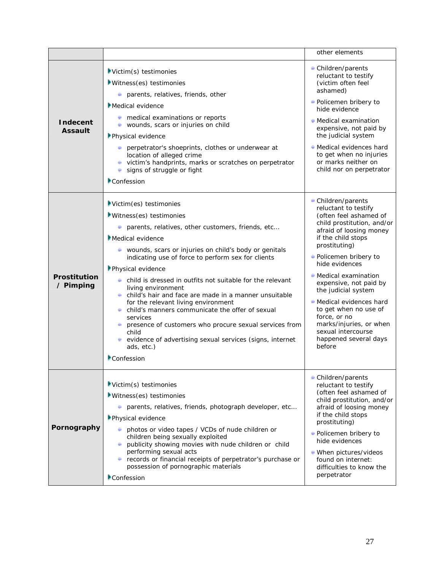|                                   |                                                                                                                                                                                                                                                                                                                                                                                                                                                                                                                                                                                                                                                                                                   | other elements                                                                                                                                                                                                                                                                                                                                                                                                                                    |
|-----------------------------------|---------------------------------------------------------------------------------------------------------------------------------------------------------------------------------------------------------------------------------------------------------------------------------------------------------------------------------------------------------------------------------------------------------------------------------------------------------------------------------------------------------------------------------------------------------------------------------------------------------------------------------------------------------------------------------------------------|---------------------------------------------------------------------------------------------------------------------------------------------------------------------------------------------------------------------------------------------------------------------------------------------------------------------------------------------------------------------------------------------------------------------------------------------------|
| <b>Indecent</b><br><b>Assault</b> | Victim(s) testimonies<br>Witness(es) testimonies<br>parents, relatives, friends, other<br><b>Medical evidence</b><br>$\blacksquare$ medical examinations or reports<br>wounds, scars or injuries on child<br>Physical evidence<br>perpetrator's shoeprints, clothes or underwear at<br>location of alleged crime<br>victim's handprints, marks or scratches on perpetrator<br>signs of struggle or fight<br>۰<br>Confession                                                                                                                                                                                                                                                                       | Children/parents<br>reluctant to testify<br>(victim often feel<br>ashamed)<br>• Policemen bribery to<br>hide evidence<br>$\blacksquare$ Medical examination<br>expensive, not paid by<br>the judicial system<br>● Medical evidences hard<br>to get when no injuries<br>or marks neither on<br>child nor on perpetrator                                                                                                                            |
| <b>Prostitution</b><br>/ Pimping  | Victim(es) testimonies<br>Witness(es) testimonies<br>parents, relatives, other customers, friends, etc<br>Medical evidence<br>wounds, scars or injuries on child's body or genitals<br>indicating use of force to perform sex for clients<br>Physical evidence<br>$\bullet$ child is dressed in outfits not suitable for the relevant<br>living environment<br>child's hair and face are made in a manner unsuitable<br>for the relevant living environment<br>• child's manners communicate the offer of sexual<br>services<br>presence of customers who procure sexual services from<br>child<br>$\bullet$ evidence of advertising sexual services (signs, internet<br>ads, etc.)<br>Confession | Children/parents<br>reluctant to testify<br>(often feel ashamed of<br>child prostitution, and/or<br>afraid of loosing money<br>if the child stops<br>prostituting)<br>• Policemen bribery to<br>hide evidences<br>• Medical examination<br>expensive, not paid by<br>the judicial system<br>• Medical evidences hard<br>to get when no use of<br>force, or no<br>marks/injuries, or when<br>sexual intercourse<br>happened several days<br>before |
| Pornography                       | $\blacktriangleright$ Victim(s) testimonies<br>$Witness(es)$ testimonies<br>parents, relatives, friends, photograph developer, etc<br>Physical evidence<br>photos or video tapes / VCDs of nude children or<br>children being sexually exploited<br>publicity showing movies with nude children or child<br>performing sexual acts<br><b>E</b> records or financial receipts of perpetrator's purchase or<br>possession of pornographic materials<br>Confession                                                                                                                                                                                                                                   | • Children/parents<br>reluctant to testify<br>(often feel ashamed of<br>child prostitution, and/or<br>afraid of loosing money<br>if the child stops<br>prostituting)<br>• Policemen bribery to<br>hide evidences<br>• When pictures/videos<br>found on internet:<br>difficulties to know the<br>perpetrator                                                                                                                                       |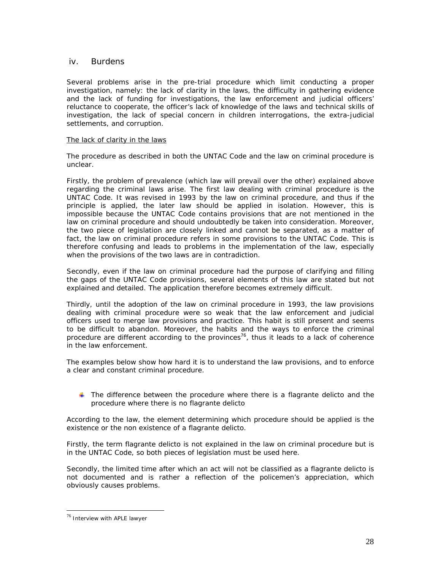# iv. Burdens

Several problems arise in the pre-trial procedure which limit conducting a proper investigation, namely: the lack of clarity in the laws, the difficulty in gathering evidence and the lack of funding for investigations, the law enforcement and judicial officers' reluctance to cooperate, the officer's lack of knowledge of the laws and technical skills of investigation, the lack of special concern in children interrogations, the extra-judicial settlements, and corruption.

# The lack of clarity in the laws

The procedure as described in both the UNTAC Code and the law on criminal procedure is unclear.

Firstly, the problem of prevalence (which law will prevail over the other) explained above regarding the criminal laws arise. The first law dealing with criminal procedure is the UNTAC Code. It was revised in 1993 by the law on criminal procedure, and thus if the principle is applied, the later law should be applied in isolation. However, this is impossible because the UNTAC Code contains provisions that are not mentioned in the law on criminal procedure and should undoubtedly be taken into consideration. Moreover, the two piece of legislation are closely linked and cannot be separated, as a matter of fact, the law on criminal procedure refers in some provisions to the UNTAC Code. This is therefore confusing and leads to problems in the implementation of the law, especially when the provisions of the two laws are in contradiction.

Secondly, even if the law on criminal procedure had the purpose of clarifying and filling the gaps of the UNTAC Code provisions, several elements of this law are stated but not explained and detailed. The application therefore becomes extremely difficult.

Thirdly, until the adoption of the law on criminal procedure in 1993, the law provisions dealing with criminal procedure were so weak that the law enforcement and judicial officers used to merge law provisions and practice. This habit is still present and seems to be difficult to abandon. Moreover, the habits and the ways to enforce the criminal procedure are different according to the provinces<sup>76</sup>, thus it leads to a lack of coherence in the law enforcement.

The examples below show how hard it is to understand the law provisions, and to enforce a clear and constant criminal procedure.

 $\Box$  The difference between the procedure where there is a flagrante delicto and the procedure where there is no flagrante delicto

According to the law, the element determining which procedure should be applied is the existence or the non existence of a flagrante delicto.

Firstly, the term flagrante delicto is not explained in the law on criminal procedure but is in the UNTAC Code, so both pieces of legislation must be used here.

Secondly, the limited time after which an act will not be classified as a flagrante delicto is not documented and is rather a reflection of the policemen's appreciation, which obviously causes problems.

<sup>76</sup> Interview with APLE lawyer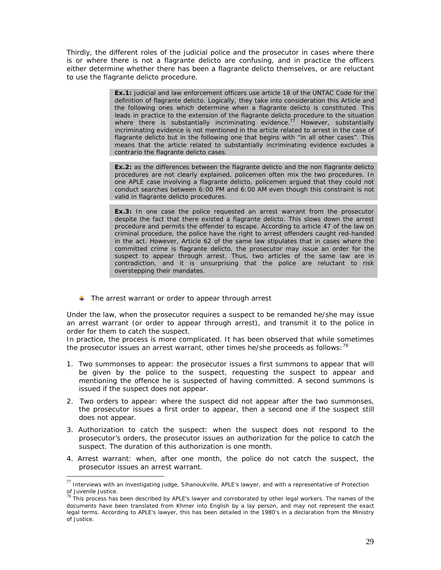Thirdly, the different roles of the judicial police and the prosecutor in cases where there is or where there is not a flagrante delicto are confusing, and in practice the officers either determine whether there has been a flagrante delicto themselves, or are reluctant to use the flagrante delicto procedure.

> **Ex.1:** judicial and law enforcement officers use article 18 of the UNTAC Code for the definition of flagrante delicto. Logically, they take into consideration this Article and the following ones which determine when a flagrante delicto is constituted. This leads in practice to the extension of the flagrante delicto procedure to the situation where there is substantially incriminating evidence.<sup>77</sup> However, substantially incriminating evidence is not mentioned in the article related to arrest in the case of flagrante delicto but in the following one that begins with "in all other cases". This means that the article related to substantially incriminating evidence excludes a contrario the flagrante delicto cases.

> **Ex.2:** as the differences between the flagrante delicto and the non flagrante delicto procedures are not clearly explained, policemen often mix the two procedures. In one APLE case involving a flagrante delicto, policemen argued that they could not conduct searches between 6:00 PM and 6:00 AM even though this constraint is not valid in flagrante delicto procedures.

> **Ex.3:** In one case the police requested an arrest warrant from the prosecutor despite the fact that there existed a flagrante delicto. This slows down the arrest procedure and permits the offender to escape. According to article 47 of the law on criminal procedure, the police have the right to arrest offenders caught red-handed in the act. However, Article 62 of the same law stipulates that in cases where the committed crime is flagrante delicto, the prosecutor may issue an order for the suspect to appear through arrest. Thus, two articles of the same law are in contradiction, and it is unsurprising that the police are reluctant to risk overstepping their mandates.

 $\blacksquare$  The arrest warrant or order to appear through arrest

Under the law, when the prosecutor requires a suspect to be remanded he/she may issue an arrest warrant (or order to appear through arrest), and transmit it to the police in order for them to catch the suspect.

In practice, the process is more complicated. It has been observed that while sometimes the prosecutor issues an arrest warrant, other times he/she proceeds as follows:<sup>78</sup>

- 1. *Two* s*ummonses to appear*: the prosecutor issues a first summons to appear that will be given by the police to the suspect, requesting the suspect to appear and mentioning the offence he is suspected of having committed. A second summons is issued if the suspect does not appear.
- 2. *Two* o*rders to appear*: where the suspect did not appear after the two summonses, the prosecutor issues a first order to appear, then a second one if the suspect still does not appear.
- 3. *Authorization to catch the suspect*: when the suspect does not respond to the prosecutor's orders, the prosecutor issues an authorization for the police to catch the suspect. The duration of this authorization is one month.
- 4. *Arrest warrant*: when, after one month, the police do not catch the suspect, the prosecutor issues an arrest warrant.

 $^{77}$  Interviews with an investigating judge, Sihanoukville, APLE's lawyer, and with a representative of Protection of Juvenile Justice.<br><sup>78</sup> This process has been described by APLE's lawyer and corroborated by other legal workers. The names of the

documents have been translated from Khmer into English by a lay person, and may not represent the exact legal terms. According to APLE's lawyer, this has been detailed in the 1980's in a declaration from the Ministry of Justice.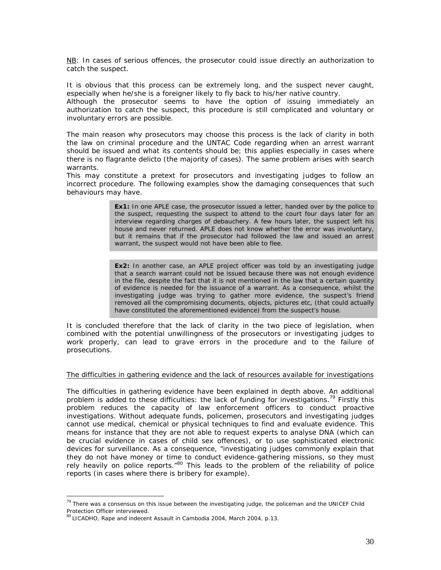NB: In cases of serious offences, the prosecutor could issue directly an authorization to catch the suspect.

It is obvious that this process can be extremely long, and the suspect never caught, especially when he/she is a foreigner likely to fly back to his/her native country.

Although the prosecutor seems to have the option of issuing immediately an authorization to catch the suspect, this procedure is still complicated and voluntary or involuntary errors are possible.

The main reason why prosecutors may choose this process is the lack of clarity in both the law on criminal procedure and the UNTAC Code regarding when an arrest warrant should be issued and what its contents should be; this applies especially in cases where there is no flagrante delicto (the majority of cases). The same problem arises with search warrants.

This may constitute a pretext for prosecutors and investigating judges to follow an incorrect procedure. The following examples show the damaging consequences that such behaviours may have.

> **Ex1:** In one APLE case, the prosecutor issued a letter, handed over by the police to the suspect, requesting the suspect to attend to the court four days later for an interview regarding charges of debauchery. A few hours later, the suspect left his house and never returned. APLE does not know whether the error was involuntary, but it remains that if the prosecutor had followed the law and issued an arrest warrant, the suspect would not have been able to flee.

> **Ex2:** In another case, an APLE project officer was told by an investigating judge that a search warrant could not be issued because there was not enough evidence in the file, despite the fact that it is not mentioned in the law that a certain quantity of evidence is needed for the issuance of a warrant. As a consequence, whilst the investigating judge was trying to gather more evidence, the suspect's friend removed all the compromising documents, objects, pictures etc, (that could actually have constituted the aforementioned evidence) from the suspect's house.

It is concluded therefore that the lack of clarity in the two piece of legislation, when combined with the potential unwillingness of the prosecutors or investigating judges to work properly, can lead to grave errors in the procedure and to the failure of prosecutions.

#### The difficulties in gathering evidence and the lack of resources available for investigations

The difficulties in gathering evidence have been explained in depth above. An additional problem is added to these difficulties: the lack of funding for investigations.<sup>79</sup> Firstly this problem reduces the capacity of law enforcement officers to conduct proactive investigations. Without adequate funds, policemen, prosecutors and investigating judges cannot use medical, chemical or physical techniques to find and evaluate evidence. This means for instance that they are not able to request experts to analyse DNA (which can be crucial evidence in cases of child sex offences), or to use sophisticated electronic devices for surveillance. As a consequence, "investigating judges commonly explain that they do not have money or time to conduct evidence-gathering missions, so they must rely heavily on police reports. $^{80}$  This leads to the problem of the reliability of police reports (in cases where there is bribery for example).

 $^{79}$  There was a consensus on this issue between the investigating judge, the policeman and the UNICEF Child Protection Officer interviewed.

<sup>80</sup>LICADHO, *Rape and indecent Assault in Cambodia 2004*, March 2004, p.13.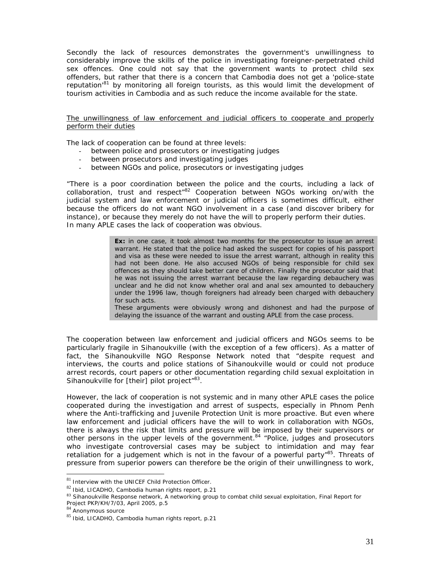Secondly the lack of resources demonstrates the government's unwillingness to considerably improve the skills of the police in investigating foreigner-perpetrated child sex offences. One could not say that the government wants to protect child sex offenders, but rather that there is a concern that Cambodia does not get a 'police-state reputation'81 by monitoring all foreign tourists, as this would limit the development of tourism activities in Cambodia and as such reduce the income available for the state.

The unwillingness of law enforcement and judicial officers to cooperate and properly perform their duties

The lack of cooperation can be found at three levels:

- between police and prosecutors or investigating judges
- between prosecutors and investigating judges
- between NGOs and police, prosecutors or investigating judges

"There is a poor coordination between the police and the courts, including a lack of collaboration, trust and respect<sup>"82</sup> Cooperation between NGOs working on/with the judicial system and law enforcement or judicial officers is sometimes difficult, either because the officers do not want NGO involvement in a case (and discover bribery for instance), or because they merely do not have the will to properly perform their duties. In many APLE cases the lack of cooperation was obvious.

> **Ex:** in one case, it took almost two months for the prosecutor to issue an arrest warrant. He stated that the police had asked the suspect for copies of his passport and visa as these were needed to issue the arrest warrant, although in reality this had not been done. He also accused NGOs of being responsible for child sex offences as they should take better care of children. Finally the prosecutor said that he was not issuing the arrest warrant because the law regarding debauchery was unclear and he did not know whether oral and anal sex amounted to debauchery under the 1996 law, though foreigners had already been charged with debauchery for such acts.

> These arguments were obviously wrong and dishonest and had the purpose of delaying the issuance of the warrant and ousting APLE from the case process.

The cooperation between law enforcement and judicial officers and NGOs seems to be particularly fragile in Sihanoukville (with the exception of a few officers). As a matter of fact, the Sihanoukville NGO Response Network noted that "despite request and interviews, the courts and police stations of Sihanoukville would or could not produce arrest records, court papers or other documentation regarding child sexual exploitation in Sihanoukville for [their] pilot project<sup>"83</sup>.

However, the lack of cooperation is not systemic and in many other APLE cases the police cooperated during the investigation and arrest of suspects, especially in Phnom Penh where the Anti-trafficking and Juvenile Protection Unit is more proactive. But even where law enforcement and judicial officers have the will to work in collaboration with NGOs, there is always the risk that limits and pressure will be imposed by their supervisors or other persons in the upper levels of the government.<sup>84</sup> "Police, judges and prosecutors who investigate controversial cases may be subject to intimidation and may fear retaliation for a judgement which is not in the favour of a powerful party<sup> $n$ 85</sup>. Threats of pressure from superior powers can therefore be the origin of their unwillingness to work,

 $81$  Interview with the UNICEF Child Protection Officer.

<sup>82</sup> Ibid, LICADHO, Cambodia human rights report, p.21

<sup>83</sup> Sihanoukville Response network, A networking group to combat child sexual exploitation, *Final Report for Project PKP/KH/7/03*, April 2005, p.5 <sup>84</sup> Anonymous source

<sup>85</sup> Ibid, LICADHO, Cambodia human rights report, p.21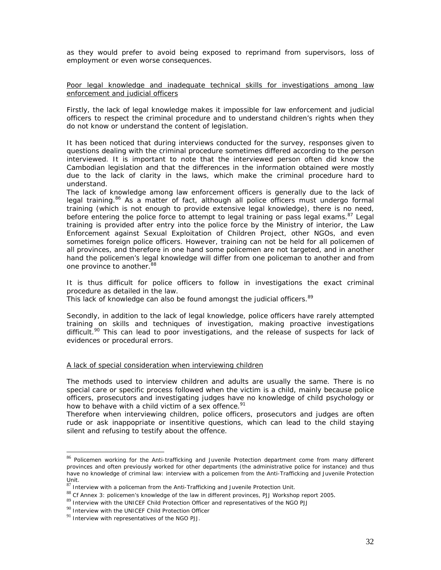as they would prefer to avoid being exposed to reprimand from supervisors, loss of employment or even worse consequences.

Poor legal knowledge and inadequate technical skills for investigations among law enforcement and judicial officers

Firstly, the lack of legal knowledge makes it impossible for law enforcement and judicial officers to respect the criminal procedure and to understand children's rights when they do not know or understand the content of legislation.

It has been noticed that during interviews conducted for the survey, responses given to questions dealing with the criminal procedure sometimes differed according to the person interviewed. It is important to note that the interviewed person often did know the Cambodian legislation and that the differences in the information obtained were mostly due to the lack of clarity in the laws, which make the criminal procedure hard to understand.

The lack of knowledge among law enforcement officers is generally due to the lack of legal training.<sup>86</sup> As a matter of fact, although all police officers must undergo formal training (which is not enough to provide extensive legal knowledge), there is no need, before entering the police force to attempt to legal training or pass legal exams. $87$  Legal training is provided after entry into the police force by the Ministry of interior, the Law Enforcement against Sexual Exploitation of Children Project, other NGOs, and even sometimes foreign police officers. However, training can not be held for all policemen of all provinces, and therefore in one hand some policemen are not targeted, and in another hand the policemen's legal knowledge will differ from one policeman to another and from one province to another.<sup>88</sup>

It is thus difficult for police officers to follow in investigations the exact criminal procedure as detailed in the law.

This lack of knowledge can also be found amongst the judicial officers.<sup>89</sup>

Secondly, in addition to the lack of legal knowledge, police officers have rarely attempted training on skills and techniques of investigation, making proactive investigations difficult.<sup>90</sup> This can lead to poor investigations, and the release of suspects for lack of evidences or procedural errors.

### A lack of special consideration when interviewing children

The methods used to interview children and adults are usually the same. There is no special care or specific process followed when the victim is a child, mainly because police officers, prosecutors and investigating judges have no knowledge of child psychology or how to behave with a child victim of a sex offence.<sup>91</sup>

Therefore when interviewing children, police officers, prosecutors and judges are often rude or ask inappopriate or insentitive questions, which can lead to the child staying silent and refusing to testify about the offence.

<sup>&</sup>lt;sup>86</sup> Policemen working for the Anti-trafficking and Juvenile Protection department come from many different provinces and often previously worked for other departments (the administrative police for instance) and thus have no knowledge of criminal law: interview with a policemen from the Anti-Trafficking and Juvenile Protection Unit.

 $87$  Interview with a policeman from the Anti-Trafficking and Juvenile Protection Unit.

<sup>88</sup> Cf Annex 3: policemen's knowledge of the law in different provinces, PJJ Workshop report 2005.<br>89 Interview with the UNICEF Child Protection Officer and representatives of the NGO PJJ

<sup>90</sup> Interview with the UNICEF Child Protection Officer

 $91$  Interview with representatives of the NGO PJJ.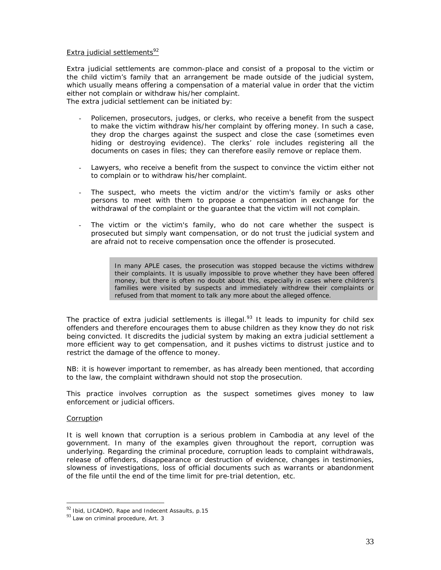### Extra judicial settlements $92$

Extra judicial settlements are common-place and consist of a proposal to the victim or the child victim's family that an arrangement be made outside of the judicial system, which usually means offering a compensation of a material value in order that the victim either not complain or withdraw his/her complaint.

The extra judicial settlement can be initiated by:

- Policemen, prosecutors, judges, or clerks, who receive a benefit from the suspect to make the victim withdraw his/her complaint by offering money. In such a case, they drop the charges against the suspect and close the case (sometimes even hiding or destroying evidence). The clerks' role includes registering all the documents on cases in files; they can therefore easily remove or replace them.
- Lawyers, who receive a benefit from the suspect to convince the victim either not to complain or to withdraw his/her complaint.
- The suspect, who meets the victim and/or the victim's family or asks other persons to meet with them to propose a compensation in exchange for the withdrawal of the complaint or the guarantee that the victim will not complain.
- The victim or the victim's family, who do not care whether the suspect is prosecuted but simply want compensation, or do not trust the judicial system and are afraid not to receive compensation once the offender is prosecuted.

In many APLE cases, the prosecution was stopped because the victims withdrew their complaints. It is usually impossible to prove whether they have been offered money, but there is often no doubt about this, especially in cases where children's families were visited by suspects and immediately withdrew their complaints or refused from that moment to talk any more about the alleged offence.

The practice of extra judicial settlements is illegal. $93$  It leads to impunity for child sex offenders and therefore encourages them to abuse children as they know they do not risk being convicted. It discredits the judicial system by making an extra judicial settlement a more efficient way to get compensation, and it pushes victims to distrust justice and to restrict the damage of the offence to money.

*NB: it is however important to remember, as has already been mentioned, that according to the law, the complaint withdrawn should not stop the prosecution*.

This practice involves corruption as the suspect sometimes gives money to law enforcement or judicial officers.

# **Corruption**

l

It is well known that corruption is a serious problem in Cambodia at any level of the government. In many of the examples given throughout the report, corruption was underlying. Regarding the criminal procedure, corruption leads to complaint withdrawals, release of offenders, disappearance or destruction of evidence, changes in testimonies, slowness of investigations, loss of official documents such as warrants or abandonment of the file until the end of the time limit for pre-trial detention, etc.

 $92$  Ibid, LICADHO, Rape and Indecent Assaults, p.15

 $93$  Law on criminal procedure, Art. 3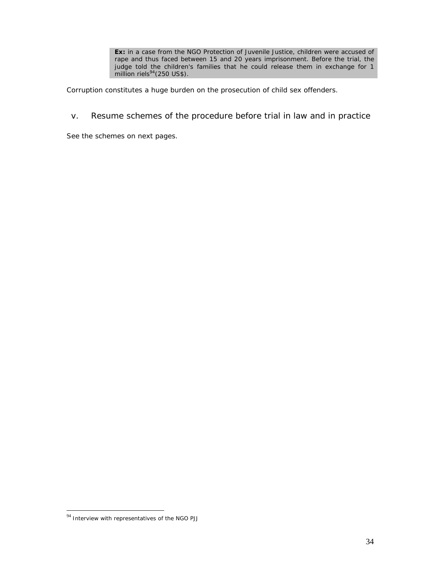**Ex:** in a case from the NGO Protection of Juvenile Justice, children were accused of rape and thus faced between 15 and 20 years imprisonment. Before the trial, the judge told the children's families that he could release them in exchange for 1 million riels $94$ (250 US\$).

Corruption constitutes a huge burden on the prosecution of child sex offenders.

v. Resume schemes of the procedure before trial in law and in practice

See the schemes on next pages.

<sup>&</sup>lt;sup>94</sup> Interview with representatives of the NGO PJJ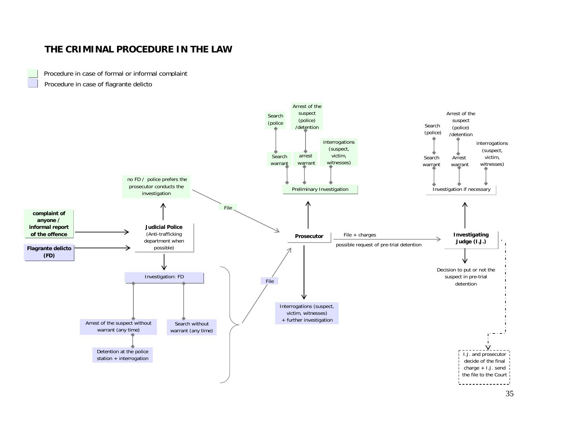# **THE CRIMINAL PROCEDURE IN THE LAW**

Procedure in case of formal or informal complaint Procedure in case of flagrante delicto

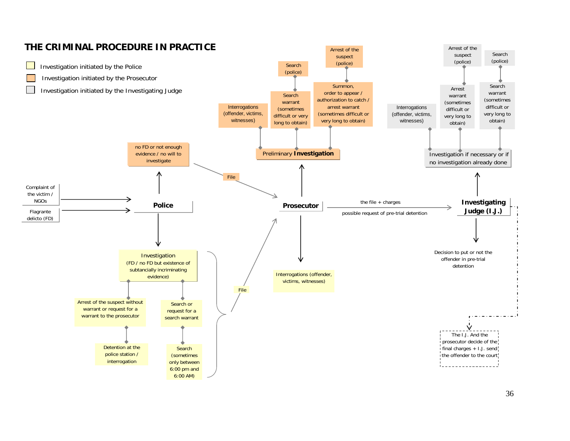

# 36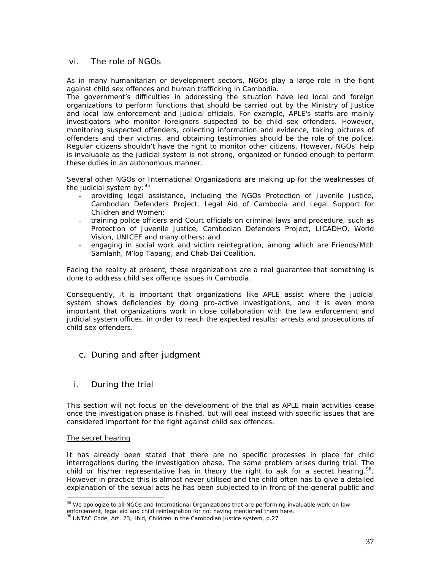# vi. The role of NGOs

As in many humanitarian or development sectors, NGOs play a large role in the fight against child sex offences and human trafficking in Cambodia.

The government's difficulties in addressing the situation have led local and foreign organizations to perform functions that should be carried out by the Ministry of Justice and local law enforcement and judicial officials. For example, APLE's staffs are mainly investigators who monitor foreigners suspected to be child sex offenders. However, monitoring suspected offenders, collecting information and evidence, taking pictures of offenders and their victims, and obtaining testimonies should be the role of the police. Regular citizens shouldn't have the right to monitor other citizens. However, NGOs' help is invaluable as the judicial system is not strong, organized or funded enough to perform these duties in an autonomous manner.

Several other NGOs or International Organizations are making up for the weaknesses of the judicial system by:  $95$ 

- providing legal assistance, including the NGOs Protection of Juvenile Justice, Cambodian Defenders Project, Legal Aid of Cambodia and Legal Support for Children and Women;
- training police officers and Court officials on criminal laws and procedure, such as Protection of Juvenile Justice, Cambodian Defenders Project, LICADHO, World Vision, UNICEF and many others; and
- engaging in social work and victim reintegration, among which are Friends/Mith Samlanh, M'lop Tapang, and Chab Dai Coalition.

Facing the reality at present, these organizations are a real guarantee that something is done to address child sex offence issues in Cambodia.

Consequently, it is important that organizations like APLE assist where the judicial system shows deficiencies by doing pro-active investigations, and it is even more important that organizations work in close collaboration with the law enforcement and judicial system offices, in order to reach the expected results: arrests and prosecutions of child sex offenders.

- c. During and after judgment
- i. During the trial

This section will not focus on the development of the trial as APLE main activities cease once the investigation phase is finished, but will deal instead with specific issues that are considered important for the fight against child sex offences.

# The secret hearing

It has already been stated that there are no specific processes in place for child interrogations during the investigation phase. The same problem arises during trial. The child or his/her representative has in theory the right to ask for a secret hearing.<sup>96</sup>. However in practice this is almost never utilised and the child often has to give a detailed explanation of the sexual acts he has been subjected to in front of the general public and

l <sup>95</sup> We apologize to all NGOs and International Organizations that are performing invaluable work on law

enforcement, legal aid and child reintegration for not having mentioned them here.

 $96$  UNTAC Code, Art. 23; Ibid, Children in the Cambodian justice system, p.27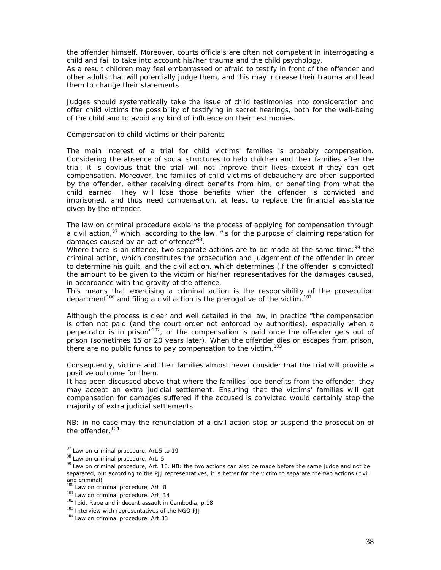the offender himself. Moreover, courts officials are often not competent in interrogating a child and fail to take into account his/her trauma and the child psychology.

As a result children may feel embarrassed or afraid to testify in front of the offender and other adults that will potentially judge them, and this may increase their trauma and lead them to change their statements.

Judges should systematically take the issue of child testimonies into consideration and offer child victims the possibility of testifying in secret hearings, both for the well-being of the child and to avoid any kind of influence on their testimonies.

### Compensation to child victims or their parents

The main interest of a trial for child victims' families is probably compensation. Considering the absence of social structures to help children and their families after the trial, it is obvious that the trial will not improve their lives except if they can get compensation. Moreover, the families of child victims of debauchery are often supported by the offender, either receiving direct benefits from him, or benefiting from what the child earned. They will lose those benefits when the offender is convicted and imprisoned, and thus need compensation, at least to replace the financial assistance given by the offender.

The law on criminal procedure explains the process of applying for compensation through a civil action, $97$  which, according to the law, "is for the purpose of claiming reparation for damages caused by an act of offence"<sup>98</sup>.

Where there is an offence, two separate actions are to be made at the same time:<sup>99</sup> the criminal action, which constitutes the prosecution and judgement of the offender in order to determine his guilt, and the civil action, which determines (if the offender is convicted) the amount to be given to the victim or his/her representatives for the damages caused, in accordance with the gravity of the offence.

This means that exercising a criminal action is the responsibility of the prosecution department<sup>100</sup> and filing a civil action is the prerogative of the victim.<sup>101</sup>

Although the process is clear and well detailed in the law, in practice "the compensation is often not paid (and the court order not enforced by authorities), especially when a perpetrator is in prison"<sup>102</sup>, or the compensation is paid once the offender gets out of prison (sometimes 15 or 20 years later). When the offender dies or escapes from prison, there are no public funds to pay compensation to the victim.<sup>103</sup>

Consequently, victims and their families almost never consider that the trial will provide a positive outcome for them.

It has been discussed above that where the families lose benefits from the offender, they may accept an extra judicial settlement. Ensuring that the victims' families will get compensation for damages suffered if the accused is convicted would certainly stop the majority of extra judicial settlements.

*NB*: in no case may the renunciation of a civil action stop or suspend the prosecution of *the offender.<sup>104</sup>*

 $97$  Law on criminal procedure, Art.5 to 19

<sup>98</sup> Law on criminal procedure, Art. 5

<sup>&</sup>lt;sup>99</sup> Law on criminal procedure, Art. 16. NB: the two actions can also be made before the same judge and not be separated, but according to the PJJ representatives, it is better for the victim to separate the two actions (civil and criminal)<br><sup>100</sup> Law on criminal procedure, Art. 8

<sup>101</sup> Law on criminal procedure, Art. 14

<sup>&</sup>lt;sup>102</sup> Ibid, Rape and indecent assault in Cambodia, p.18

 $103$  Interview with representatives of the NGO PJJ

<sup>&</sup>lt;sup>104</sup> Law on criminal procedure, Art.33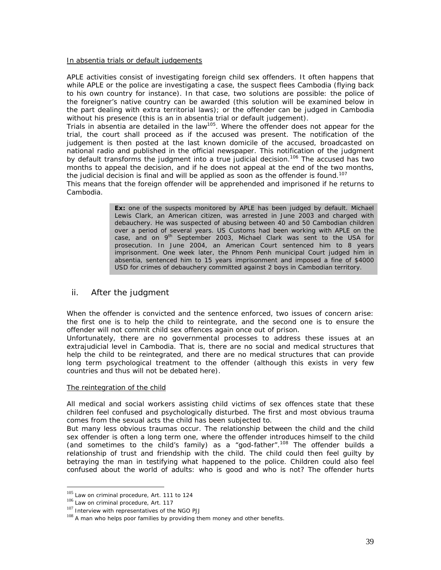### In absentia trials or default judgements

APLE activities consist of investigating foreign child sex offenders. It often happens that while APLE or the police are investigating a case, the suspect flees Cambodia (flying back to his own country for instance). In that case, two solutions are possible: the police of the foreigner's native country can be awarded (this solution will be examined below in the part dealing with extra territorial laws); or the offender can be judged in Cambodia without his presence (this is an in absentia trial or default judgement).

Trials in absentia are detailed in the law<sup>105</sup>. Where the offender does not appear for the trial, the court shall proceed as if the accused was present. The notification of the judgement is then posted at the last known domicile of the accused, broadcasted on national radio and published in the official newspaper. This notification of the judgment by default transforms the judgment into a true judicial decision.<sup>106</sup> The accused has two months to appeal the decision, and if he does not appeal at the end of the two months, the judicial decision is final and will be applied as soon as the offender is found.<sup>107</sup>

This means that the foreign offender will be apprehended and imprisoned if he returns to Cambodia.

> **Ex:** one of the suspects monitored by APLE has been judged by default. Michael Lewis Clark, an American citizen, was arrested in June 2003 and charged with debauchery. He was suspected of abusing between 40 and 50 Cambodian children over a period of several years. US Customs had been working with APLE on the case, and on  $9<sup>th</sup>$  September 2003, Michael Clark was sent to the USA for prosecution. In June 2004, an American Court sentenced him to 8 years imprisonment. One week later, the Phnom Penh municipal Court judged him in absentia, sentenced him to 15 years imprisonment and imposed a fine of \$4000 USD for crimes of debauchery committed against 2 boys in Cambodian territory.

# ii. After the judgment

When the offender is convicted and the sentence enforced, two issues of concern arise: the first one is to help the child to reintegrate, and the second one is to ensure the offender will not commit child sex offences again once out of prison.

Unfortunately, there are no governmental processes to address these issues at an extrajudicial level in Cambodia. That is, there are no social and medical structures that help the child to be reintegrated, and there are no medical structures that can provide long term psychological treatment to the offender (although this exists in very few countries and thus will not be debated here).

# The reintegration of the child

All medical and social workers assisting child victims of sex offences state that these children feel confused and psychologically disturbed. The first and most obvious trauma comes from the sexual acts the child has been subjected to.

But many less obvious traumas occur. The relationship between the child and the child sex offender is often a long term one, where the offender introduces himself to the child (and sometimes to the child's family) as a "god-father".<sup>108</sup> The offender builds a relationship of trust and friendship with the child. The child could then feel guilty by betraying the man in testifying what happened to the police. Children could also feel confused about the world of adults: who is good and who is not? The offender hurts

 $105$  Law on criminal procedure, Art. 111 to 124

<sup>106</sup> Law on criminal procedure, Art. 117

<sup>107</sup> Interview with representatives of the NGO PJJ

<sup>&</sup>lt;sup>108</sup> A man who helps poor families by providing them money and other benefits.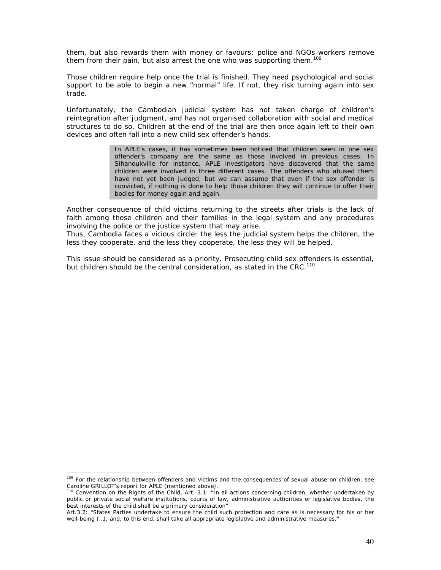them, but also rewards them with money or favours; police and NGOs workers remove them from their pain, but also arrest the one who was supporting them.<sup>109</sup>

Those children require help once the trial is finished. They need psychological and social support to be able to begin a new "normal" life. If not, they risk turning again into sex trade.

Unfortunately, the Cambodian judicial system has not taken charge of children's reintegration after judgment, and has not organised collaboration with social and medical structures to do so. Children at the end of the trial are then once again left to their own devices and often fall into a new child sex offender's hands.

> In APLE's cases, it has sometimes been noticed that children seen in one sex offender's company are the same as those involved in previous cases. In Sihanoukville for instance, APLE investigators have discovered that the same children were involved in three different cases. The offenders who abused them have not yet been judged, but we can assume that even if the sex offender is convicted, if nothing is done to help those children they will continue to offer their bodies for money again and again.

Another consequence of child victims returning to the streets after trials is the lack of faith among those children and their families in the legal system and any procedures involving the police or the justice system that may arise.

Thus, Cambodia faces a vicious circle: the less the judicial system helps the children, the less they cooperate, and the less they cooperate, the less they will be helped.

This issue should be considered as a priority. Prosecuting child sex offenders is essential, but children should be the central consideration, as stated in the CRC.<sup>110</sup>

<sup>&</sup>lt;sup>109</sup> For the relationship between offenders and victims and the consequences of sexual abuse on children, see Caroline GRILLOT's report for APLE (mentioned above).

<sup>110</sup> Convention on the Rights of the Child, Art. 3.1: *"In all actions concerning children, whether undertaken by public or private social welfare institutions, courts of law, administrative authorities or legislative bodies, the best interests of the child shall be a primary consideration"* 

Art.3.2: "*States Parties undertake to ensure the child such protection and care as is necessary for his or her well-being (…), and, to this end, shall take all appropriate legislative and administrative measures."*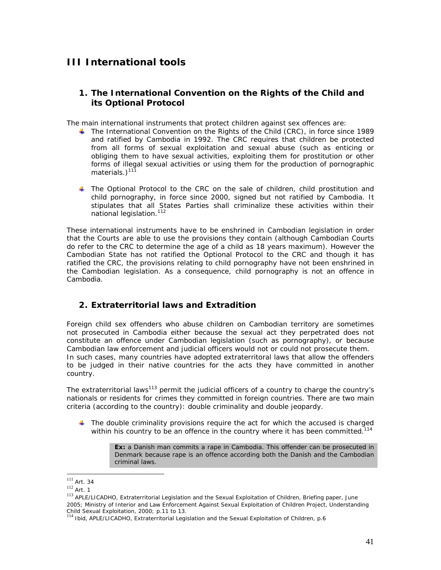# **III International tools**

# **1. The International Convention on the Rights of the Child and its Optional Protocol**

The main international instruments that protect children against sex offences are:

- The International Convention on the Rights of the Child (CRC), in force since 1989 and ratified by Cambodia in 1992. The CRC requires that children be protected from all forms of sexual exploitation and sexual abuse (such as enticing or obliging them to have sexual activities, exploiting them for prostitution or other forms of illegal sexual activities or using them for the production of pornographic materials. $1^{111}$
- The Optional Protocol to the CRC on the sale of children, child prostitution and child pornography, in force since 2000, signed but not ratified by Cambodia. It stipulates that all States Parties shall criminalize these activities within their national legislation.<sup>112</sup>

These international instruments have to be enshrined in Cambodian legislation in order that the Courts are able to use the provisions they contain (although Cambodian Courts do refer to the CRC to determine the age of a child as 18 years maximum). However the Cambodian State has not ratified the Optional Protocol to the CRC and though it has ratified the CRC, the provisions relating to child pornography have not been enshrined in the Cambodian legislation. As a consequence, child pornography is not an offence in Cambodia.

# **2. Extraterritorial laws and Extradition**

Foreign child sex offenders who abuse children on Cambodian territory are sometimes not prosecuted in Cambodia either because the sexual act they perpetrated does not constitute an offence under Cambodian legislation (such as pornography), or because Cambodian law enforcement and judicial officers would not or could not prosecute them. In such cases, many countries have adopted extraterritoral laws that allow the offenders to be judged in their native countries for the acts they have committed in another country.

The extraterritorial laws<sup>113</sup> permit the judicial officers of a country to charge the country's nationals or residents for crimes they committed in foreign countries. There are two main criteria (according to the country): double criminality and double jeopardy.

 $\blacksquare$  The double criminality provisions require the act for which the accused is charged within his country to be an offence in the country where it has been committed.<sup>114</sup>

> **Ex:** a Danish man commits a rape in Cambodia. This offender can be prosecuted in Denmark because rape is an offence according both the Danish and the Cambodian criminal laws.

  $111$  Art. 34

 $112$  Art. 1

<sup>113</sup> APLE/LICADHO, *Extraterritorial Legislation and the Sexual Exploitation of Children*, Briefing paper, June 2005; Ministry of Interior and Law Enforcement Against Sexual Exploitation of Children Project, *Understanding* 

*Child Sexual Exploitation*, 2000; p.11 to 13. <sup>114</sup> Ibid, APLE/LICADHO, *Extraterritorial Legislation and the Sexual Exploitation of Children*, p.6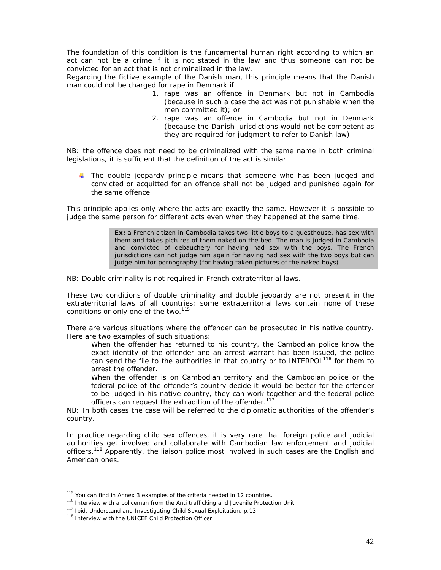The foundation of this condition is the fundamental human right according to which an act can not be a crime if it is not stated in the law and thus someone can not be convicted for an act that is not criminalized in the law.

Regarding the fictive example of the Danish man, this principle means that the Danish man could not be charged for rape in Denmark if:

- 1. rape was an offence in Denmark but not in Cambodia (because in such a case the act was not punishable when the men committed it); or
- 2. rape was an offence in Cambodia but not in Denmark (because the Danish jurisdictions would not be competent as they are required for judgment to refer to Danish law)

*NB*: the offence does not need to be criminalized with the same name in both criminal *legislations, it is sufficient that the definition of the act is similar.* 

 $\ddot{\bullet}$  The double jeopardy principle means that someone who has been judged and convicted or acquitted for an offence shall not be judged and punished again for the same offence.

This principle applies only where the acts are exactly the same. However it is possible to judge the same person for different acts even when they happened at the same time.

> **Ex:** a French citizen in Cambodia takes two little boys to a guesthouse, has sex with them and takes pictures of them naked on the bed. The man is judged in Cambodia and convicted of debauchery for having had sex with the boys. The French jurisdictions can not judge him again for having had sex with the two boys but can judge him for pornography (for having taken pictures of the naked boys).

*NB: Double criminality is not required in French extraterritorial laws.* 

These two conditions of double criminality and double jeopardy are not present in the extraterritorial laws of all countries; some extraterritorial laws contain none of these conditions or only one of the two.<sup>115</sup>

There are various situations where the offender can be prosecuted in his native country. Here are two examples of such situations:

- When the offender has returned to his country, the Cambodian police know the exact identity of the offender and an arrest warrant has been issued, the police can send the file to the authorities in that country or to INTERPOL<sup>116</sup> for them to arrest the offender.
- When the offender is on Cambodian territory and the Cambodian police or the federal police of the offender's country decide it would be better for the offender to be judged in his native country, they can work together and the federal police officers can request the extradition of the offender.<sup>117</sup>

*NB: In both cases the case will be referred to the diplomatic authorities of the offender's country.* 

In practice regarding child sex offences, it is very rare that foreign police and judicial authorities get involved and collaborate with Cambodian law enforcement and judicial officers.<sup>118</sup> Apparently, the liaison police most involved in such cases are the English and American ones.

<sup>&</sup>lt;sup>115</sup> You can find in Annex 3 examples of the criteria needed in 12 countries.

 $116$  Interview with a policeman from the Anti trafficking and Juvenile Protection Unit.

<sup>&</sup>lt;sup>117</sup> Ibid, Understand and Investigating Child Sexual Exploitation, p.13

<sup>118</sup> Interview with the UNICEF Child Protection Officer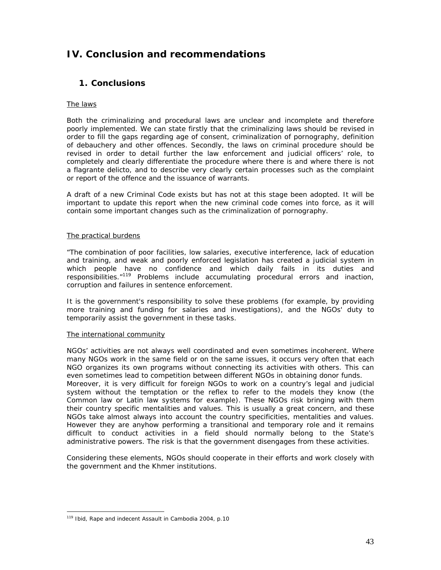# **IV. Conclusion and recommendations**

# **1. Conclusions**

# The laws

Both the criminalizing and procedural laws are unclear and incomplete and therefore poorly implemented. We can state firstly that the criminalizing laws should be revised in order to fill the gaps regarding age of consent, criminalization of pornography, definition of debauchery and other offences. Secondly, the laws on criminal procedure should be revised in order to detail further the law enforcement and judicial officers' role, to completely and clearly differentiate the procedure where there is and where there is not a flagrante delicto, and to describe very clearly certain processes such as the complaint or report of the offence and the issuance of warrants.

A draft of a new Criminal Code exists but has not at this stage been adopted. It will be important to update this report when the new criminal code comes into force, as it will contain some important changes such as the criminalization of pornography.

# The practical burdens

"The combination of poor facilities, low salaries, executive interference, lack of education and training, and weak and poorly enforced legislation has created a judicial system in which people have no confidence and which daily fails in its duties and responsibilities."119 Problems include accumulating procedural errors and inaction, corruption and failures in sentence enforcement.

It is the government's responsibility to solve these problems (for example, by providing more training and funding for salaries and investigations), and the NGOs' duty to temporarily assist the government in these tasks.

# The international community

NGOs' activities are not always well coordinated and even sometimes incoherent. Where many NGOs work in the same field or on the same issues, it occurs very often that each NGO organizes its own programs without connecting its activities with others. This can even sometimes lead to competition between different NGOs in obtaining donor funds. Moreover, it is very difficult for foreign NGOs to work on a country's legal and judicial system without the temptation or the reflex to refer to the models they know (the Common law or Latin law systems for example). These NGOs risk bringing with them their country specific mentalities and values. This is usually a great concern, and these NGOs take almost always into account the country specificities, mentalities and values. However they are anyhow performing a transitional and temporary role and it remains difficult to conduct activities in a field should normally belong to the State's

Considering these elements, NGOs should cooperate in their efforts and work closely with the government and the Khmer institutions.

administrative powers. The risk is that the government disengages from these activities.

l 119 Ibid, *Rape and indecent Assault in Cambodia 2004*, p.10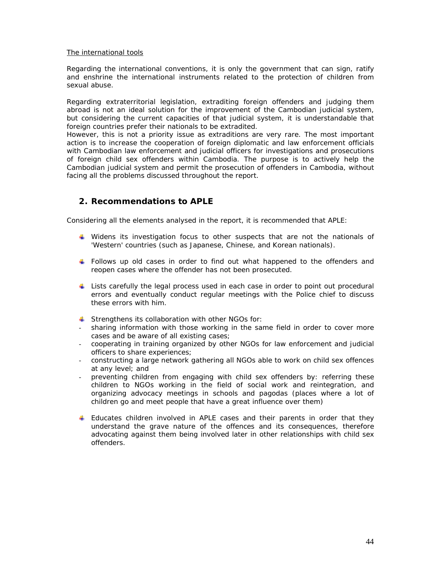### The international tools

Regarding the international conventions, it is only the government that can sign, ratify and enshrine the international instruments related to the protection of children from sexual abuse.

Regarding extraterritorial legislation, extraditing foreign offenders and judging them abroad is not an ideal solution for the improvement of the Cambodian judicial system, but considering the current capacities of that judicial system, it is understandable that foreign countries prefer their nationals to be extradited.

However, this is not a priority issue as extraditions are very rare. The most important action is to increase the cooperation of foreign diplomatic and law enforcement officials with Cambodian law enforcement and judicial officers for investigations and prosecutions of foreign child sex offenders within Cambodia. The purpose is to actively help the Cambodian judicial system and permit the prosecution of offenders in Cambodia, without facing all the problems discussed throughout the report.

# **2. Recommendations to APLE**

Considering all the elements analysed in the report, it is recommended that APLE:

- Widens its investigation focus to other suspects that are not the nationals of 'Western' countries (such as Japanese, Chinese, and Korean nationals).
- Follows up old cases in order to find out what happened to the offenders and reopen cases where the offender has not been prosecuted.
- Lists carefully the legal process used in each case in order to point out procedural errors and eventually conduct regular meetings with the Police chief to discuss these errors with him.
- $\triangleq$  Strengthens its collaboration with other NGOs for:
- sharing information with those working in the same field in order to cover more cases and be aware of all existing cases;
- cooperating in training organized by other NGOs for law enforcement and judicial officers to share experiences;
- constructing a large network gathering all NGOs able to work on child sex offences at any level; and
- preventing children from engaging with child sex offenders by: referring these children to NGOs working in the field of social work and reintegration, and organizing advocacy meetings in schools and pagodas (places where a lot of children go and meet people that have a great influence over them)
- **Educates children involved in APLE cases and their parents in order that they** understand the grave nature of the offences and its consequences, therefore advocating against them being involved later in other relationships with child sex offenders.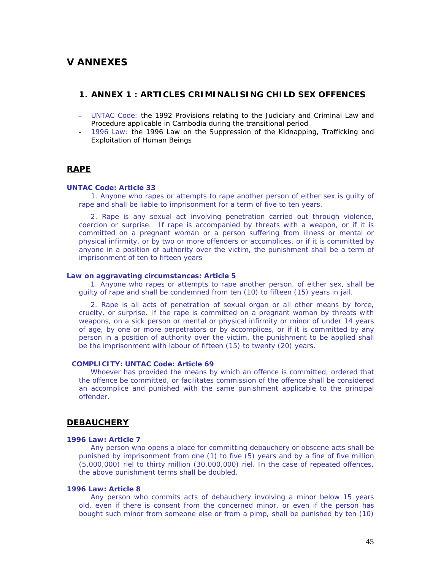# **V ANNEXES**

# **1. ANNEX 1 : ARTICLES CRIMINALISING CHILD SEX OFFENCES**

- UNTAC Code: the 1992 *Provisions relating to the Judiciary and Criminal Law and Procedure applicable in Cambodia during the transitional period*
- 1996 Law: the 1996 *Law on the Suppression of the Kidnapping, Trafficking and Exploitation of Human Beings*

# **RAPE**

#### **UNTAC Code: Article 33**

1. Anyone who rapes or attempts to rape another person of either sex is guilty of rape and shall be liable to imprisonment for a term of five to ten years.

2. Rape is any sexual act involving penetration carried out through violence, coercion or surprise. If rape is accompanied by threats with a weapon, or if it is committed on a pregnant woman or a person suffering from illness or mental or physical infirmity, or by two or more offenders or accomplices, or if it is committed by anyone in a position of authority over the victim, the punishment shall be a term of imprisonment of ten to fifteen years

#### **Law on aggravating circumstances: Article 5**

1. Anyone who rapes or attempts to rape another person, of either sex, shall be guilty of rape and shall be condemned from ten (10) to fifteen (15) years in jail.

2. Rape is all acts of penetration of sexual organ or all other means by force, cruelty, or surprise. If the rape is committed on a pregnant woman by threats with weapons, on a sick person or mental or physical infirmity or minor of under 14 years of age, by one or more perpetrators or by accomplices, or if it is committed by any person in a position of authority over the victim, the punishment to be applied shall be the imprisonment with labour of fifteen (15) to twenty (20) years.

### *COMPLICITY:* **UNTAC Code: Article 69**

Whoever has provided the means by which an offence is committed, ordered that the offence be committed, or facilitates commission of the offence shall be considered an accomplice and punished with the same punishment applicable to the principal offender.

# **DEBAUCHERY**

#### **1996 Law: Article 7**

Any person who opens a place for committing debauchery or obscene acts shall be punished by imprisonment from one (1) to five (5) years and by a fine of five million (5,000,000) riel to thirty million (30,000,000) riel. In the case of repeated offences, the above punishment terms shall be doubled.

### **1996 Law: Article 8**

Any person who commits acts of debauchery involving a minor below 15 years old, even if there is consent from the concerned minor, or even if the person has bought such minor from someone else or from a pimp, shall be punished by ten (10)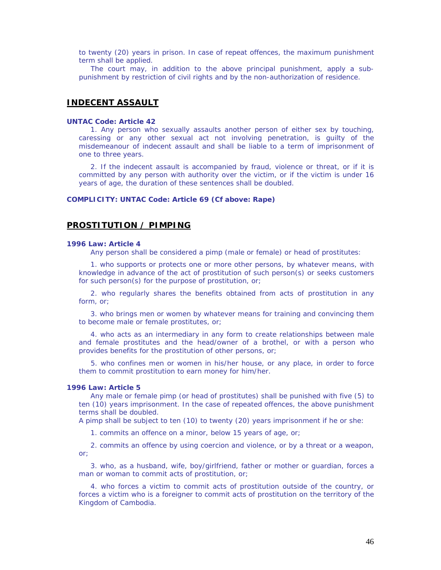to twenty (20) years in prison. In case of repeat offences, the maximum punishment term shall be applied.

The court may, in addition to the above principal punishment, apply a subpunishment by restriction of civil rights and by the non-authorization of residence.

# **INDECENT ASSAULT**

#### **UNTAC Code: Article 42**

1. Any person who sexually assaults another person of either sex by touching, caressing or any other sexual act not involving penetration, is guilty of the misdemeanour of indecent assault and shall be liable to a term of imprisonment of one to three years.

2. If the indecent assault is accompanied by fraud, violence or threat, or if it is committed by any person with authority over the victim, or if the victim is under 16 years of age, the duration of these sentences shall be doubled.

#### *COMPLICITY:* **UNTAC Code: Article 69 (Cf above: Rape)**

# **PROSTITUTION / PIMPING**

#### **1996 Law: Article 4**

Any person shall be considered a pimp (male or female) or head of prostitutes:

1. who supports or protects one or more other persons, by whatever means, with knowledge in advance of the act of prostitution of such person(s) or seeks customers for such person(s) for the purpose of prostitution, or;

2. who regularly shares the benefits obtained from acts of prostitution in any form, or;

3. who brings men or women by whatever means for training and convincing them to become male or female prostitutes, or;

4. who acts as an intermediary in any form to create relationships between male and female prostitutes and the head/owner of a brothel, or with a person who provides benefits for the prostitution of other persons, or;

5. who confines men or women in his/her house, or any place, in order to force them to commit prostitution to earn money for him/her.

### **1996 Law: Article 5**

Any male or female pimp (or head of prostitutes) shall be punished with five (5) to ten (10) years imprisonment. In the case of repeated offences, the above punishment terms shall be doubled.

A pimp shall be subject to ten (10) to twenty (20) years imprisonment if he or she:

1. commits an offence on a minor, below 15 years of age, or;

2. commits an offence by using coercion and violence, or by a threat or a weapon, or;

3. who, as a husband, wife, boy/girlfriend, father or mother or guardian, forces a man or woman to commit acts of prostitution, or;

4. who forces a victim to commit acts of prostitution outside of the country, or forces a victim who is a foreigner to commit acts of prostitution on the territory of the Kingdom of Cambodia.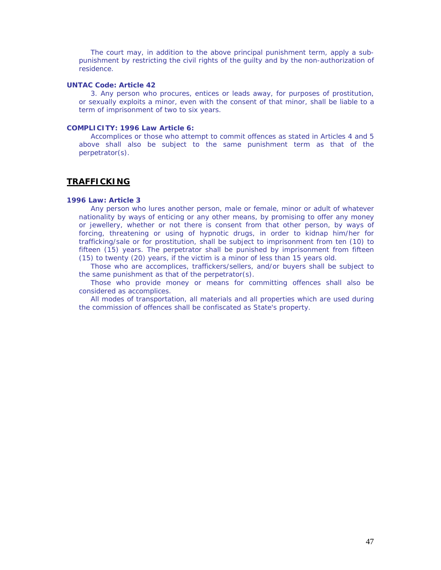The court may, in addition to the above principal punishment term, apply a subpunishment by restricting the civil rights of the guilty and by the non-authorization of residence.

### **UNTAC Code: Article 42**

3. Any person who procures, entices or leads away, for purposes of prostitution, or sexually exploits a minor, even with the consent of that minor, shall be liable to a term of imprisonment of two to six years.

# *COMPLICITY:* **1996 Law Article 6:**

Accomplices or those who attempt to commit offences as stated in Articles 4 and 5 above shall also be subject to the same punishment term as that of the perpetrator(s).

# **TRAFFICKING**

### **1996 Law: Article 3**

Any person who lures another person, male or female, minor or adult of whatever nationality by ways of enticing or any other means, by promising to offer any money or jewellery, whether or not there is consent from that other person, by ways of forcing, threatening or using of hypnotic drugs, in order to kidnap him/her for trafficking/sale or for prostitution, shall be subject to imprisonment from ten (10) to fifteen (15) years. The perpetrator shall be punished by imprisonment from fifteen (15) to twenty (20) years, if the victim is a minor of less than 15 years old.

Those who are accomplices, traffickers/sellers, and/or buyers shall be subject to the same punishment as that of the perpetrator(s).

Those who provide money or means for committing offences shall also be considered as accomplices.

All modes of transportation, all materials and all properties which are used during the commission of offences shall be confiscated as State's property.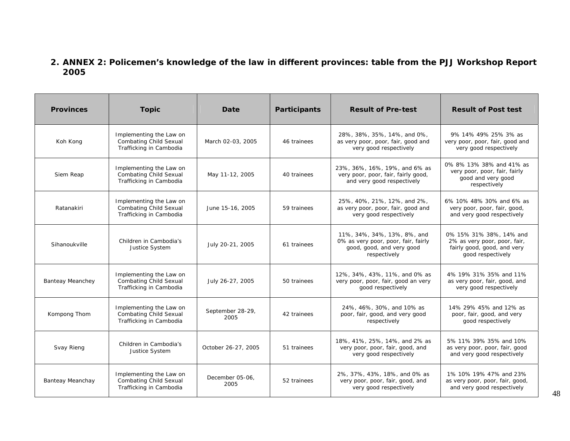# **2. ANNEX 2: Policemen's knowledge of the law in different provinces: table from the PJJ Workshop Report 2005**

| <b>Provinces</b>                                                                                                       | <b>Topic</b>                                                                        | Date                     | Participants | <b>Result of Pre-test</b>                                                                                       | <b>Result of Post test</b>                                                                                  |
|------------------------------------------------------------------------------------------------------------------------|-------------------------------------------------------------------------------------|--------------------------|--------------|-----------------------------------------------------------------------------------------------------------------|-------------------------------------------------------------------------------------------------------------|
| Koh Kong                                                                                                               | Implementing the Law on<br><b>Combating Child Sexual</b><br>Trafficking in Cambodia | March 02-03, 2005        | 46 trainees  | 28%, 38%, 35%, 14%, and 0%,<br>as very poor, poor, fair, good and<br>very good respectively                     | 9% 14% 49% 25% 3% as<br>very poor, poor, fair, good and<br>very good respectively                           |
| Siem Reap                                                                                                              | Implementing the Law on<br><b>Combating Child Sexual</b><br>Trafficking in Cambodia | May 11-12, 2005          | 40 trainees  | 23%, 36%, 16%, 19%, and 6% as<br>very poor, poor, fair, fairly good,<br>and very good respectively              | 0% 8% 13% 38% and 41% as<br>very poor, poor, fair, fairly<br>good and very good<br>respectively             |
| Ratanakiri                                                                                                             | Implementing the Law on<br><b>Combating Child Sexual</b><br>Trafficking in Cambodia | June 15-16, 2005         | 59 trainees  | 25%, 40%, 21%, 12%, and 2%,<br>as very poor, poor, fair, good and<br>very good respectively                     | 6% 10% 48% 30% and 6% as<br>very poor, poor, fair, good,<br>and very good respectively                      |
| Sihanoukville                                                                                                          | Children in Cambodia's<br>Justice System                                            | July 20-21, 2005         | 61 trainees  | 11%, 34%, 34%, 13%, 8%, and<br>0% as very poor, poor, fair, fairly<br>good, good, and very good<br>respectively | 0% 15% 31% 38%, 14% and<br>2% as very poor, poor, fair,<br>fairly good, good, and very<br>good respectively |
| <b>Banteay Meanchey</b>                                                                                                | Implementing the Law on<br><b>Combating Child Sexual</b><br>Trafficking in Cambodia | July 26-27, 2005         | 50 trainees  | 12%, 34%, 43%, 11%, and 0% as<br>very poor, poor, fair, good an very<br>good respectively                       | 4% 19% 31% 35% and 11%<br>as very poor, fair, good, and<br>very good respectively                           |
| Kompong Thom                                                                                                           | Implementing the Law on<br><b>Combating Child Sexual</b><br>Trafficking in Cambodia | September 28-29,<br>2005 | 42 trainees  | 24%, 46%, 30%, and 10% as<br>poor, fair, good, and very good<br>respectively                                    | 14% 29% 45% and 12% as<br>poor, fair, good, and very<br>good respectively                                   |
| Svay Rieng                                                                                                             | Children in Cambodia's<br>Justice System                                            | October 26-27, 2005      | 51 trainees  | 18%, 41%, 25%, 14%, and 2% as<br>very poor, poor, fair, good, and<br>very good respectively                     | 5% 11% 39% 35% and 10%<br>as very poor, poor, fair, good<br>and very good respectively                      |
| Implementing the Law on<br><b>Combating Child Sexual</b><br><b>Banteay Meanchay</b><br>2005<br>Trafficking in Cambodia |                                                                                     | December 05-06,          | 52 trainees  | 2%, 37%, 43%, 18%, and 0% as<br>very poor, poor, fair, good, and<br>very good respectively                      | 1% 10% 19% 47% and 23%<br>as very poor, poor, fair, good,<br>and very good respectively                     |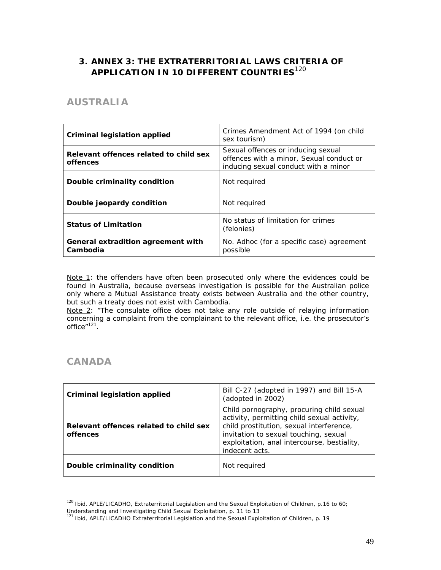# **3. ANNEX 3: THE EXTRATERRITORIAL LAWS CRITERIA OF APPLICATION IN 10 DIFFERENT COUNTRIES**<sup>120</sup>

# **AUSTRALIA**

| Criminal legislation applied                       | Crimes Amendment Act of 1994 (on child<br>sex tourism)                                                                 |
|----------------------------------------------------|------------------------------------------------------------------------------------------------------------------------|
| Relevant offences related to child sex<br>offences | Sexual offences or inducing sexual<br>offences with a minor, Sexual conduct or<br>inducing sexual conduct with a minor |
| Double criminality condition                       | Not required                                                                                                           |
| Double jeopardy condition                          | Not reguired                                                                                                           |
| <b>Status of Limitation</b>                        | No status of limitation for crimes<br>(felonies)                                                                       |
| General extradition agreement with<br>Cambodia     | No. Adhoc (for a specific case) agreement<br>possible                                                                  |

Note 1: the offenders have often been prosecuted only where the evidences could be found in Australia, because overseas investigation is possible for the Australian police only where a Mutual Assistance treaty exists between Australia and the other country, but such a treaty does not exist with Cambodia.

Note 2: "The consulate office does not take any role outside of relaying information concerning a complaint from the complainant to the relevant office, i.e. the prosecutor's office"<sup>121</sup>.

# **CANADA**

| Criminal legislation applied                       | Bill C-27 (adopted in 1997) and Bill 15-A<br>(adopted in 2002)                                                                                                                                                                                 |
|----------------------------------------------------|------------------------------------------------------------------------------------------------------------------------------------------------------------------------------------------------------------------------------------------------|
| Relevant offences related to child sex<br>offences | Child pornography, procuring child sexual<br>activity, permitting child sexual activity,<br>child prostitution, sexual interference,<br>invitation to sexual touching, sexual<br>exploitation, anal intercourse, bestiality,<br>indecent acts. |
| Double criminality condition                       | Not required                                                                                                                                                                                                                                   |

<sup>&</sup>lt;sup>120</sup> Ibid, APLE/LICADHO, Extraterritorial Legislation and the Sexual Exploitation of Children, p.16 to 60; Understanding and Investigating Child Sexual Exploitation, p. 11 to 13

<sup>121</sup> Ibid, APLE/LICADHO Extraterritorial Legislation and the Sexual Exploitation of Children, p. 19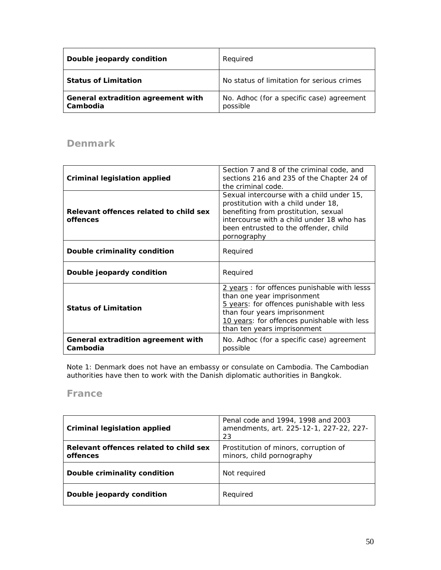| Double jeopardy condition                      | Required                                              |
|------------------------------------------------|-------------------------------------------------------|
| <b>Status of Limitation</b>                    | No status of limitation for serious crimes            |
| General extradition agreement with<br>Cambodia | No. Adhoc (for a specific case) agreement<br>possible |

# **Denmark**

| Criminal legislation applied                       | Section 7 and 8 of the criminal code, and<br>sections 216 and 235 of the Chapter 24 of<br>the criminal code.                                                                                                                          |
|----------------------------------------------------|---------------------------------------------------------------------------------------------------------------------------------------------------------------------------------------------------------------------------------------|
| Relevant offences related to child sex<br>offences | Sexual intercourse with a child under 15,<br>prostitution with a child under 18,<br>benefiting from prostitution, sexual<br>intercourse with a child under 18 who has<br>been entrusted to the offender, child<br>pornography         |
| Double criminality condition                       | Required                                                                                                                                                                                                                              |
| Double jeopardy condition                          | Required                                                                                                                                                                                                                              |
| <b>Status of Limitation</b>                        | 2 years: for offences punishable with lesss<br>than one year imprisonment<br>5 years: for offences punishable with less<br>than four years imprisonment<br>10 years: for offences punishable with less<br>than ten years imprisonment |
| General extradition agreement with<br>Cambodia     | No. Adhoc (for a specific case) agreement<br>possible                                                                                                                                                                                 |

Note 1: Denmark does not have an embassy or consulate on Cambodia. The Cambodian authorities have then to work with the Danish diplomatic authorities in Bangkok.

# **France**

| <b>Criminal legislation applied</b>                | Penal code and 1994, 1998 and 2003<br>amendments, art. 225-12-1, 227-22, 227-<br>23 |
|----------------------------------------------------|-------------------------------------------------------------------------------------|
| Relevant offences related to child sex<br>offences | Prostitution of minors, corruption of<br>minors, child pornography                  |
| Double criminality condition                       | Not required                                                                        |
| Double jeopardy condition                          | Required                                                                            |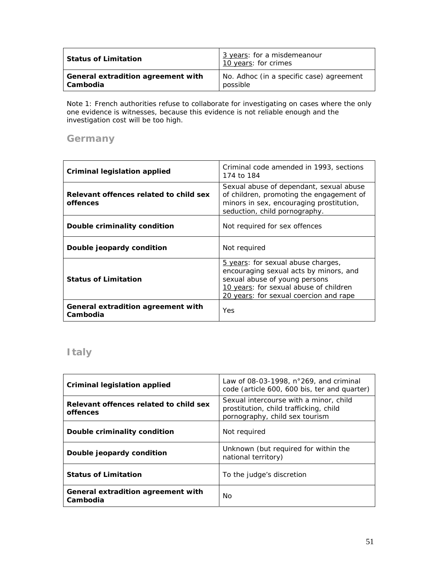| <b>Status of Limitation</b>        | 3 years: for a misdemeanour<br>10 years: for crimes |
|------------------------------------|-----------------------------------------------------|
| General extradition agreement with | No. Adhoc (in a specific case) agreement            |
| <b>Cambodia</b>                    | possible                                            |

Note 1: French authorities refuse to collaborate for investigating on cases where the only one evidence is witnesses, because this evidence is not reliable enough and the investigation cost will be too high.

# **Germany**

| Criminal legislation applied                       | Criminal code amended in 1993, sections<br>174 to 184                                                                                                                                             |
|----------------------------------------------------|---------------------------------------------------------------------------------------------------------------------------------------------------------------------------------------------------|
| Relevant offences related to child sex<br>offences | Sexual abuse of dependant, sexual abuse<br>of children, promoting the engagement of<br>minors in sex, encouraging prostitution,<br>seduction, child pornography.                                  |
| Double criminality condition                       | Not required for sex offences                                                                                                                                                                     |
| Double jeopardy condition                          | Not required                                                                                                                                                                                      |
| <b>Status of Limitation</b>                        | 5 years: for sexual abuse charges,<br>encouraging sexual acts by minors, and<br>sexual abuse of young persons<br>10 years: for sexual abuse of children<br>20 years: for sexual coercion and rape |
| General extradition agreement with<br>Cambodia     | Yes                                                                                                                                                                                               |

# **Italy**

| Criminal legislation applied                       | Law of 08-03-1998, $n^{\circ}269$ , and criminal<br>code (article 600, 600 bis, ter and quarter)                   |
|----------------------------------------------------|--------------------------------------------------------------------------------------------------------------------|
| Relevant offences related to child sex<br>offences | Sexual intercourse with a minor, child<br>prostitution, child trafficking, child<br>pornography, child sex tourism |
| Double criminality condition                       | Not reguired                                                                                                       |
| Double jeopardy condition                          | Unknown (but required for within the<br>national territory)                                                        |
| <b>Status of Limitation</b>                        | To the judge's discretion                                                                                          |
| General extradition agreement with<br>Cambodia     | No                                                                                                                 |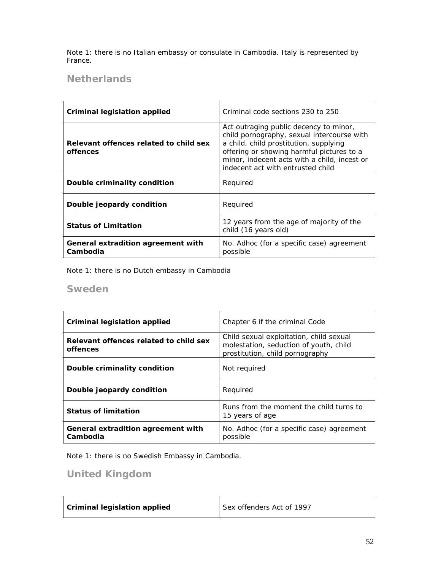Note 1: there is no Italian embassy or consulate in Cambodia. Italy is represented by France.

# **Netherlands**

| Criminal legislation applied                       | Criminal code sections 230 to 250                                                                                                                                                                                                                                |
|----------------------------------------------------|------------------------------------------------------------------------------------------------------------------------------------------------------------------------------------------------------------------------------------------------------------------|
| Relevant offences related to child sex<br>offences | Act outraging public decency to minor,<br>child pornography, sexual intercourse with<br>a child, child prostitution, supplying<br>offering or showing harmful pictures to a<br>minor, indecent acts with a child, incest or<br>indecent act with entrusted child |
| Double criminality condition                       | Required                                                                                                                                                                                                                                                         |
| Double jeopardy condition                          | Required                                                                                                                                                                                                                                                         |
| <b>Status of Limitation</b>                        | 12 years from the age of majority of the<br>child (16 years old)                                                                                                                                                                                                 |
| General extradition agreement with<br>Cambodia     | No. Adhoc (for a specific case) agreement<br>possible                                                                                                                                                                                                            |

Note 1: there is no Dutch embassy in Cambodia

# **Sweden**

| <b>Criminal legislation applied</b>                | Chapter 6 if the criminal Code                                                                                       |
|----------------------------------------------------|----------------------------------------------------------------------------------------------------------------------|
| Relevant offences related to child sex<br>offences | Child sexual exploitation, child sexual<br>molestation, seduction of youth, child<br>prostitution, child pornography |
| Double criminality condition                       | Not reguired                                                                                                         |
| Double jeopardy condition                          | Required                                                                                                             |
| <b>Status of limitation</b>                        | Runs from the moment the child turns to<br>15 years of age                                                           |
| General extradition agreement with<br>Cambodia     | No. Adhoc (for a specific case) agreement<br>possible                                                                |

Note 1: there is no Swedish Embassy in Cambodia.

# **United Kingdom**

| <b>Criminal legislation applied</b> | Sex offenders Act of 1997 |
|-------------------------------------|---------------------------|
|                                     |                           |